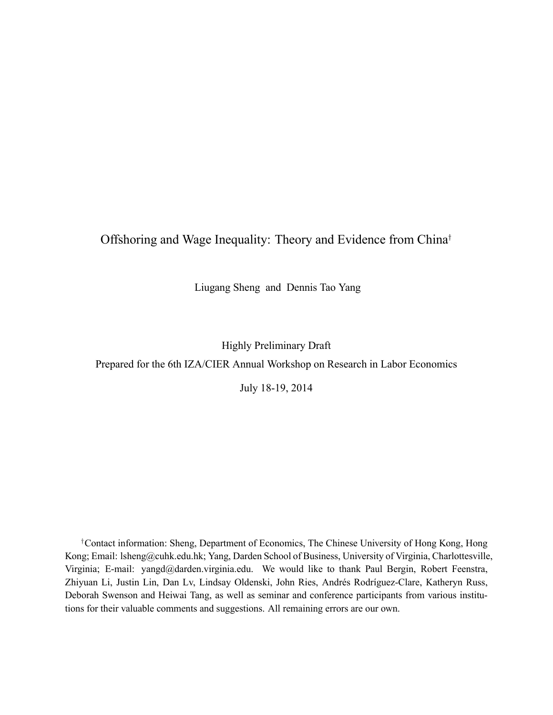### Offshoring and Wage Inequality: Theory and Evidence from China†

Liugang Sheng and Dennis Tao Yang

Highly Preliminary Draft

Prepared for the 6th IZA/CIER Annual Workshop on Research in Labor Economics

July 18-19, 2014

†Contact information: Sheng, Department of Economics, The Chinese University of Hong Kong, Hong Kong; Email: lsheng@cuhk.edu.hk; Yang, Darden School of Business, University of Virginia, Charlottesville, Virginia; E-mail: yangd@darden.virginia.edu. We would like to thank Paul Bergin, Robert Feenstra, Zhiyuan Li, Justin Lin, Dan Lv, Lindsay Oldenski, John Ries, Andrés Rodríguez-Clare, Katheryn Russ, Deborah Swenson and Heiwai Tang, as well as seminar and conference participants from various institutions for their valuable comments and suggestions. All remaining errors are our own.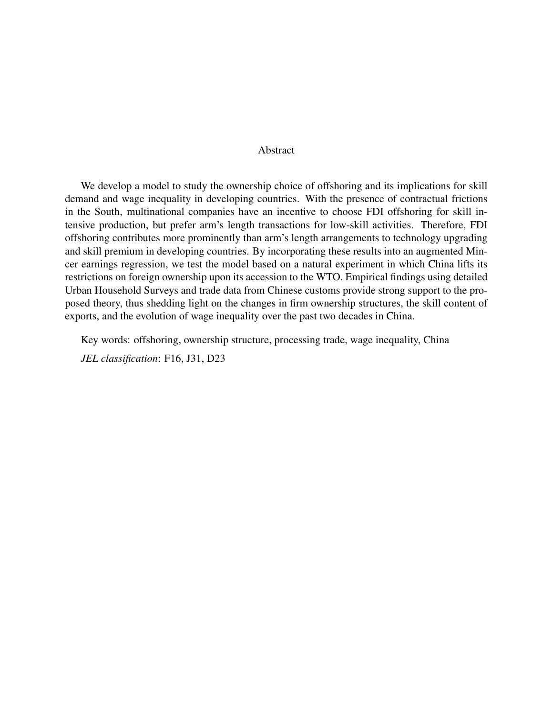#### Abstract

We develop a model to study the ownership choice of offshoring and its implications for skill demand and wage inequality in developing countries. With the presence of contractual frictions in the South, multinational companies have an incentive to choose FDI offshoring for skill intensive production, but prefer arm's length transactions for low-skill activities. Therefore, FDI offshoring contributes more prominently than arm's length arrangements to technology upgrading and skill premium in developing countries. By incorporating these results into an augmented Mincer earnings regression, we test the model based on a natural experiment in which China lifts its restrictions on foreign ownership upon its accession to the WTO. Empirical findings using detailed Urban Household Surveys and trade data from Chinese customs provide strong support to the proposed theory, thus shedding light on the changes in firm ownership structures, the skill content of exports, and the evolution of wage inequality over the past two decades in China.

Key words: offshoring, ownership structure, processing trade, wage inequality, China

*JEL classification*: F16, J31, D23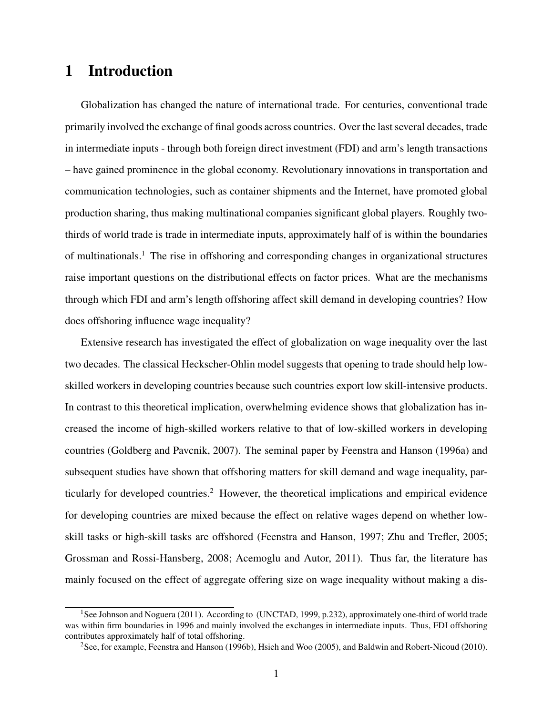## 1 Introduction

Globalization has changed the nature of international trade. For centuries, conventional trade primarily involved the exchange of final goods across countries. Over the last several decades, trade in intermediate inputs - through both foreign direct investment (FDI) and arm's length transactions – have gained prominence in the global economy. Revolutionary innovations in transportation and communication technologies, such as container shipments and the Internet, have promoted global production sharing, thus making multinational companies significant global players. Roughly twothirds of world trade is trade in intermediate inputs, approximately half of is within the boundaries of multinationals.<sup>1</sup> The rise in offshoring and corresponding changes in organizational structures raise important questions on the distributional effects on factor prices. What are the mechanisms through which FDI and arm's length offshoring affect skill demand in developing countries? How does offshoring influence wage inequality?

Extensive research has investigated the effect of globalization on wage inequality over the last two decades. The classical Heckscher-Ohlin model suggests that opening to trade should help lowskilled workers in developing countries because such countries export low skill-intensive products. In contrast to this theoretical implication, overwhelming evidence shows that globalization has increased the income of high-skilled workers relative to that of low-skilled workers in developing countries (Goldberg and Pavcnik, 2007). The seminal paper by Feenstra and Hanson (1996a) and subsequent studies have shown that offshoring matters for skill demand and wage inequality, particularly for developed countries.<sup>2</sup> However, the theoretical implications and empirical evidence for developing countries are mixed because the effect on relative wages depend on whether lowskill tasks or high-skill tasks are offshored (Feenstra and Hanson, 1997; Zhu and Trefler, 2005; Grossman and Rossi-Hansberg, 2008; Acemoglu and Autor, 2011). Thus far, the literature has mainly focused on the effect of aggregate offering size on wage inequality without making a dis-

<sup>&</sup>lt;sup>1</sup>See Johnson and Noguera (2011). According to (UNCTAD, 1999, p.232), approximately one-third of world trade was within firm boundaries in 1996 and mainly involved the exchanges in intermediate inputs. Thus, FDI offshoring contributes approximately half of total offshoring.

<sup>&</sup>lt;sup>2</sup>See, for example, Feenstra and Hanson (1996b), Hsieh and Woo (2005), and Baldwin and Robert-Nicoud (2010).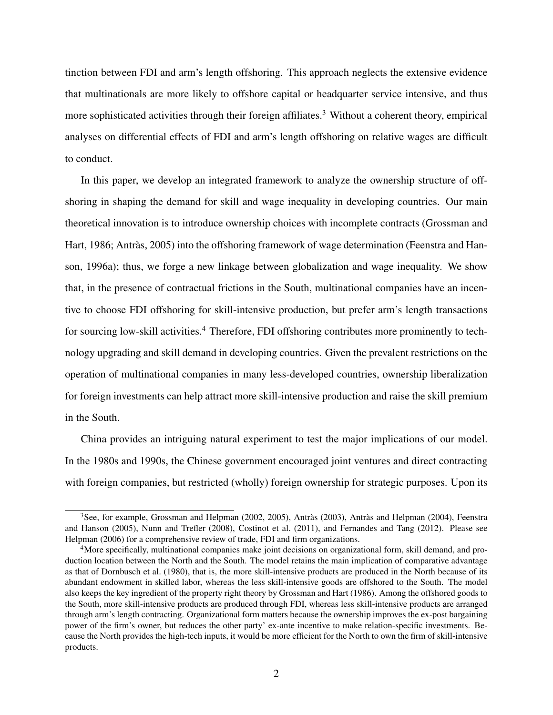tinction between FDI and arm's length offshoring. This approach neglects the extensive evidence that multinationals are more likely to offshore capital or headquarter service intensive, and thus more sophisticated activities through their foreign affiliates.<sup>3</sup> Without a coherent theory, empirical analyses on differential effects of FDI and arm's length offshoring on relative wages are difficult to conduct.

In this paper, we develop an integrated framework to analyze the ownership structure of offshoring in shaping the demand for skill and wage inequality in developing countries. Our main theoretical innovation is to introduce ownership choices with incomplete contracts (Grossman and Hart, 1986; Antràs, 2005) into the offshoring framework of wage determination (Feenstra and Hanson, 1996a); thus, we forge a new linkage between globalization and wage inequality. We show that, in the presence of contractual frictions in the South, multinational companies have an incentive to choose FDI offshoring for skill-intensive production, but prefer arm's length transactions for sourcing low-skill activities.<sup>4</sup> Therefore, FDI offshoring contributes more prominently to technology upgrading and skill demand in developing countries. Given the prevalent restrictions on the operation of multinational companies in many less-developed countries, ownership liberalization for foreign investments can help attract more skill-intensive production and raise the skill premium in the South.

China provides an intriguing natural experiment to test the major implications of our model. In the 1980s and 1990s, the Chinese government encouraged joint ventures and direct contracting with foreign companies, but restricted (wholly) foreign ownership for strategic purposes. Upon its

 $3$ See, for example, Grossman and Helpman (2002, 2005), Antràs (2003), Antràs and Helpman (2004), Feenstra and Hanson (2005), Nunn and Trefler (2008), Costinot et al. (2011), and Fernandes and Tang (2012). Please see Helpman (2006) for a comprehensive review of trade, FDI and firm organizations.

<sup>&</sup>lt;sup>4</sup>More specifically, multinational companies make joint decisions on organizational form, skill demand, and production location between the North and the South. The model retains the main implication of comparative advantage as that of Dornbusch et al. (1980), that is, the more skill-intensive products are produced in the North because of its abundant endowment in skilled labor, whereas the less skill-intensive goods are offshored to the South. The model also keeps the key ingredient of the property right theory by Grossman and Hart (1986). Among the offshored goods to the South, more skill-intensive products are produced through FDI, whereas less skill-intensive products are arranged through arm's length contracting. Organizational form matters because the ownership improves the ex-post bargaining power of the firm's owner, but reduces the other party' ex-ante incentive to make relation-specific investments. Because the North provides the high-tech inputs, it would be more efficient for the North to own the firm of skill-intensive products.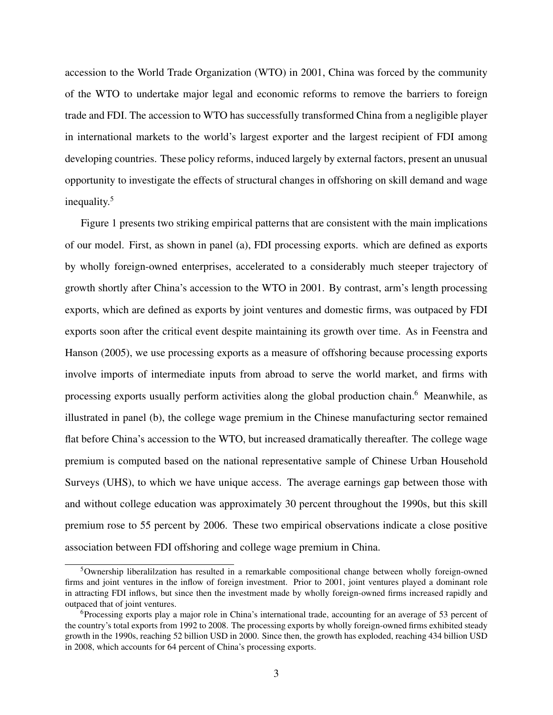accession to the World Trade Organization (WTO) in 2001, China was forced by the community of the WTO to undertake major legal and economic reforms to remove the barriers to foreign trade and FDI. The accession to WTO has successfully transformed China from a negligible player in international markets to the world's largest exporter and the largest recipient of FDI among developing countries. These policy reforms, induced largely by external factors, present an unusual opportunity to investigate the effects of structural changes in offshoring on skill demand and wage inequality.<sup>5</sup>

Figure 1 presents two striking empirical patterns that are consistent with the main implications of our model. First, as shown in panel (a), FDI processing exports. which are defined as exports by wholly foreign-owned enterprises, accelerated to a considerably much steeper trajectory of growth shortly after China's accession to the WTO in 2001. By contrast, arm's length processing exports, which are defined as exports by joint ventures and domestic firms, was outpaced by FDI exports soon after the critical event despite maintaining its growth over time. As in Feenstra and Hanson (2005), we use processing exports as a measure of offshoring because processing exports involve imports of intermediate inputs from abroad to serve the world market, and firms with processing exports usually perform activities along the global production chain.<sup>6</sup> Meanwhile, as illustrated in panel (b), the college wage premium in the Chinese manufacturing sector remained flat before China's accession to the WTO, but increased dramatically thereafter. The college wage premium is computed based on the national representative sample of Chinese Urban Household Surveys (UHS), to which we have unique access. The average earnings gap between those with and without college education was approximately 30 percent throughout the 1990s, but this skill premium rose to 55 percent by 2006. These two empirical observations indicate a close positive association between FDI offshoring and college wage premium in China.

<sup>5</sup>Ownership liberalilzation has resulted in a remarkable compositional change between wholly foreign-owned firms and joint ventures in the inflow of foreign investment. Prior to 2001, joint ventures played a dominant role in attracting FDI inflows, but since then the investment made by wholly foreign-owned firms increased rapidly and outpaced that of joint ventures.

 $6P$ rocessing exports play a major role in China's international trade, accounting for an average of 53 percent of the country's total exports from 1992 to 2008. The processing exports by wholly foreign-owned firms exhibited steady growth in the 1990s, reaching 52 billion USD in 2000. Since then, the growth has exploded, reaching 434 billion USD in 2008, which accounts for 64 percent of China's processing exports.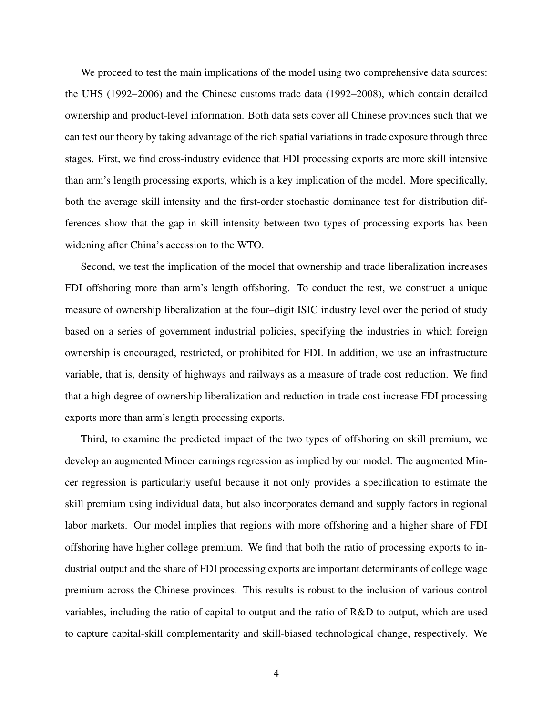We proceed to test the main implications of the model using two comprehensive data sources: the UHS (1992–2006) and the Chinese customs trade data (1992–2008), which contain detailed ownership and product-level information. Both data sets cover all Chinese provinces such that we can test our theory by taking advantage of the rich spatial variations in trade exposure through three stages. First, we find cross-industry evidence that FDI processing exports are more skill intensive than arm's length processing exports, which is a key implication of the model. More specifically, both the average skill intensity and the first-order stochastic dominance test for distribution differences show that the gap in skill intensity between two types of processing exports has been widening after China's accession to the WTO.

Second, we test the implication of the model that ownership and trade liberalization increases FDI offshoring more than arm's length offshoring. To conduct the test, we construct a unique measure of ownership liberalization at the four–digit ISIC industry level over the period of study based on a series of government industrial policies, specifying the industries in which foreign ownership is encouraged, restricted, or prohibited for FDI. In addition, we use an infrastructure variable, that is, density of highways and railways as a measure of trade cost reduction. We find that a high degree of ownership liberalization and reduction in trade cost increase FDI processing exports more than arm's length processing exports.

Third, to examine the predicted impact of the two types of offshoring on skill premium, we develop an augmented Mincer earnings regression as implied by our model. The augmented Mincer regression is particularly useful because it not only provides a specification to estimate the skill premium using individual data, but also incorporates demand and supply factors in regional labor markets. Our model implies that regions with more offshoring and a higher share of FDI offshoring have higher college premium. We find that both the ratio of processing exports to industrial output and the share of FDI processing exports are important determinants of college wage premium across the Chinese provinces. This results is robust to the inclusion of various control variables, including the ratio of capital to output and the ratio of R&D to output, which are used to capture capital-skill complementarity and skill-biased technological change, respectively. We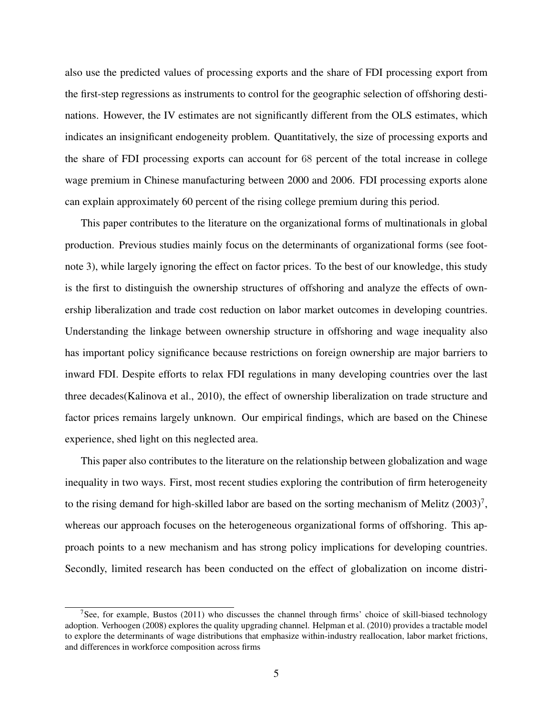also use the predicted values of processing exports and the share of FDI processing export from the first-step regressions as instruments to control for the geographic selection of offshoring destinations. However, the IV estimates are not significantly different from the OLS estimates, which indicates an insignificant endogeneity problem. Quantitatively, the size of processing exports and the share of FDI processing exports can account for 68 percent of the total increase in college wage premium in Chinese manufacturing between 2000 and 2006. FDI processing exports alone can explain approximately 60 percent of the rising college premium during this period.

This paper contributes to the literature on the organizational forms of multinationals in global production. Previous studies mainly focus on the determinants of organizational forms (see footnote 3), while largely ignoring the effect on factor prices. To the best of our knowledge, this study is the first to distinguish the ownership structures of offshoring and analyze the effects of ownership liberalization and trade cost reduction on labor market outcomes in developing countries. Understanding the linkage between ownership structure in offshoring and wage inequality also has important policy significance because restrictions on foreign ownership are major barriers to inward FDI. Despite efforts to relax FDI regulations in many developing countries over the last three decades(Kalinova et al., 2010), the effect of ownership liberalization on trade structure and factor prices remains largely unknown. Our empirical findings, which are based on the Chinese experience, shed light on this neglected area.

This paper also contributes to the literature on the relationship between globalization and wage inequality in two ways. First, most recent studies exploring the contribution of firm heterogeneity to the rising demand for high-skilled labor are based on the sorting mechanism of Melitz  $(2003)^7$ , whereas our approach focuses on the heterogeneous organizational forms of offshoring. This approach points to a new mechanism and has strong policy implications for developing countries. Secondly, limited research has been conducted on the effect of globalization on income distri-

<sup>&</sup>lt;sup>7</sup>See, for example, Bustos (2011) who discusses the channel through firms' choice of skill-biased technology adoption. Verhoogen (2008) explores the quality upgrading channel. Helpman et al. (2010) provides a tractable model to explore the determinants of wage distributions that emphasize within-industry reallocation, labor market frictions, and differences in workforce composition across firms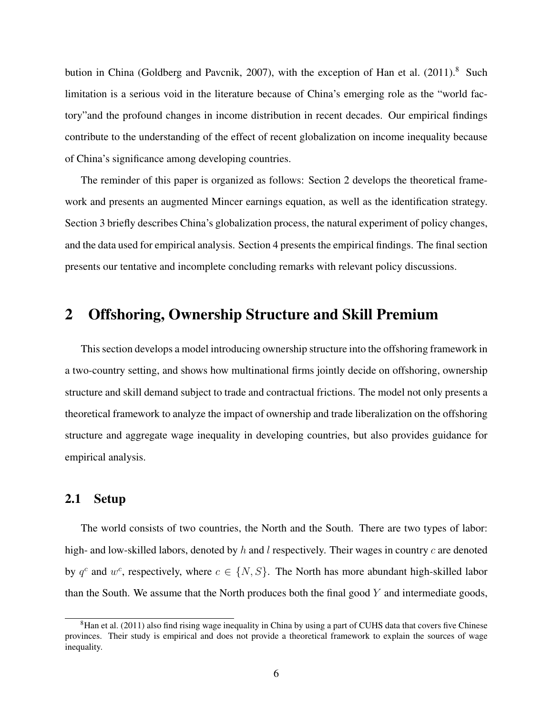bution in China (Goldberg and Pavcnik, 2007), with the exception of Han et al.  $(2011)^8$  Such limitation is a serious void in the literature because of China's emerging role as the "world factory"and the profound changes in income distribution in recent decades. Our empirical findings contribute to the understanding of the effect of recent globalization on income inequality because of China's significance among developing countries.

The reminder of this paper is organized as follows: Section 2 develops the theoretical framework and presents an augmented Mincer earnings equation, as well as the identification strategy. Section 3 briefly describes China's globalization process, the natural experiment of policy changes, and the data used for empirical analysis. Section 4 presents the empirical findings. The final section presents our tentative and incomplete concluding remarks with relevant policy discussions.

### 2 Offshoring, Ownership Structure and Skill Premium

This section develops a model introducing ownership structure into the offshoring framework in a two-country setting, and shows how multinational firms jointly decide on offshoring, ownership structure and skill demand subject to trade and contractual frictions. The model not only presents a theoretical framework to analyze the impact of ownership and trade liberalization on the offshoring structure and aggregate wage inequality in developing countries, but also provides guidance for empirical analysis.

#### 2.1 Setup

The world consists of two countries, the North and the South. There are two types of labor: high- and low-skilled labors, denoted by h and l respectively. Their wages in country c are denoted by  $q^c$  and  $w^c$ , respectively, where  $c \in \{N, S\}$ . The North has more abundant high-skilled labor than the South. We assume that the North produces both the final good  $Y$  and intermediate goods,

 ${}^{8}$ Han et al. (2011) also find rising wage inequality in China by using a part of CUHS data that covers five Chinese provinces. Their study is empirical and does not provide a theoretical framework to explain the sources of wage inequality.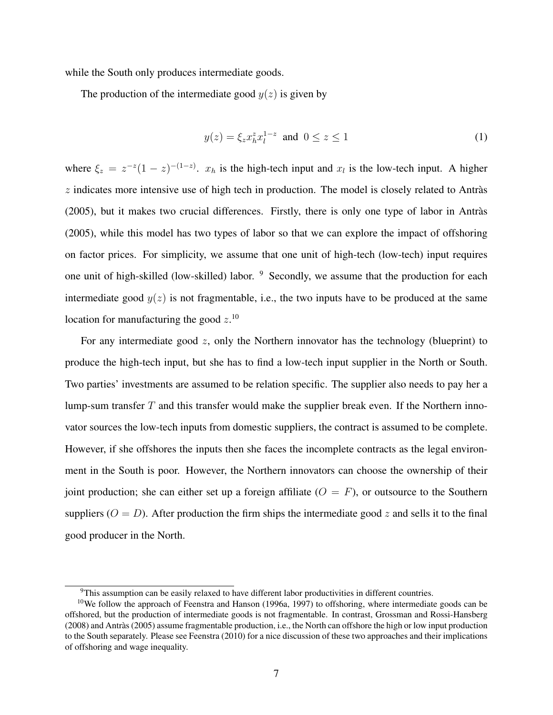while the South only produces intermediate goods.

The production of the intermediate good  $y(z)$  is given by

$$
y(z) = \xi_z x_h^z x_l^{1-z} \text{ and } 0 \le z \le 1
$$
 (1)

where  $\xi_z = z^{-z}(1-z)^{-(1-z)}$ .  $x_h$  is the high-tech input and  $x_l$  is the low-tech input. A higher  $z$  indicates more intensive use of high tech in production. The model is closely related to Antràs (2005), but it makes two crucial differences. Firstly, there is only one type of labor in Antras` (2005), while this model has two types of labor so that we can explore the impact of offshoring on factor prices. For simplicity, we assume that one unit of high-tech (low-tech) input requires one unit of high-skilled (low-skilled) labor. <sup>9</sup> Secondly, we assume that the production for each intermediate good  $y(z)$  is not fragmentable, i.e., the two inputs have to be produced at the same location for manufacturing the good  $z$ .<sup>10</sup>

For any intermediate good  $z$ , only the Northern innovator has the technology (blueprint) to produce the high-tech input, but she has to find a low-tech input supplier in the North or South. Two parties' investments are assumed to be relation specific. The supplier also needs to pay her a lump-sum transfer  $T$  and this transfer would make the supplier break even. If the Northern innovator sources the low-tech inputs from domestic suppliers, the contract is assumed to be complete. However, if she offshores the inputs then she faces the incomplete contracts as the legal environment in the South is poor. However, the Northern innovators can choose the ownership of their joint production; she can either set up a foreign affiliate  $(O = F)$ , or outsource to the Southern suppliers ( $O = D$ ). After production the firm ships the intermediate good z and sells it to the final good producer in the North.

 $\overline{9}$ This assumption can be easily relaxed to have different labor productivities in different countries.

<sup>&</sup>lt;sup>10</sup>We follow the approach of Feenstra and Hanson (1996a, 1997) to offshoring, where intermediate goods can be offshored, but the production of intermediate goods is not fragmentable. In contrast, Grossman and Rossi-Hansberg (2008) and Antras (2005) assume fragmentable production, i.e., the North can offshore the high or low input production ` to the South separately. Please see Feenstra (2010) for a nice discussion of these two approaches and their implications of offshoring and wage inequality.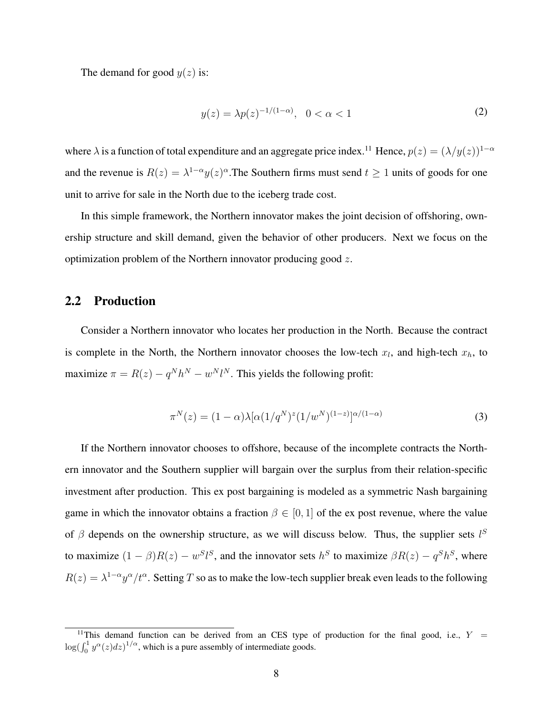The demand for good  $y(z)$  is:

$$
y(z) = \lambda p(z)^{-1/(1-\alpha)}, \quad 0 < \alpha < 1 \tag{2}
$$

where  $\lambda$  is a function of total expenditure and an aggregate price index.<sup>11</sup> Hence,  $p(z) = (\lambda/y(z))^{1-\alpha}$ and the revenue is  $R(z) = \lambda^{1-\alpha} y(z)^{\alpha}$ . The Southern firms must send  $t \ge 1$  units of goods for one unit to arrive for sale in the North due to the iceberg trade cost.

In this simple framework, the Northern innovator makes the joint decision of offshoring, ownership structure and skill demand, given the behavior of other producers. Next we focus on the optimization problem of the Northern innovator producing good z.

#### 2.2 Production

Consider a Northern innovator who locates her production in the North. Because the contract is complete in the North, the Northern innovator chooses the low-tech  $x_l$ , and high-tech  $x_h$ , to maximize  $\pi = R(z) - q^N h^N - w^N l^N$ . This yields the following profit:

$$
\pi^{N}(z) = (1 - \alpha) \lambda [\alpha (1/q^{N})^{z} (1/w^{N})^{(1-z)}]^{\alpha/(1-\alpha)}
$$
\n(3)

If the Northern innovator chooses to offshore, because of the incomplete contracts the Northern innovator and the Southern supplier will bargain over the surplus from their relation-specific investment after production. This ex post bargaining is modeled as a symmetric Nash bargaining game in which the innovator obtains a fraction  $\beta \in [0, 1]$  of the ex post revenue, where the value of  $\beta$  depends on the ownership structure, as we will discuss below. Thus, the supplier sets  $l^S$ to maximize  $(1 - \beta)R(z) - w^{S}l^{S}$ , and the innovator sets  $h^{S}$  to maximize  $\beta R(z) - q^{S}h^{S}$ , where  $R(z) = \lambda^{1-\alpha} y^{\alpha}/t^{\alpha}$ . Setting T so as to make the low-tech supplier break even leads to the following

<sup>&</sup>lt;sup>11</sup>This demand function can be derived from an CES type of production for the final good, i.e.,  $Y =$  $\log(\int_0^1 y^{\alpha}(z)dz)^{1/\alpha}$ , which is a pure assembly of intermediate goods.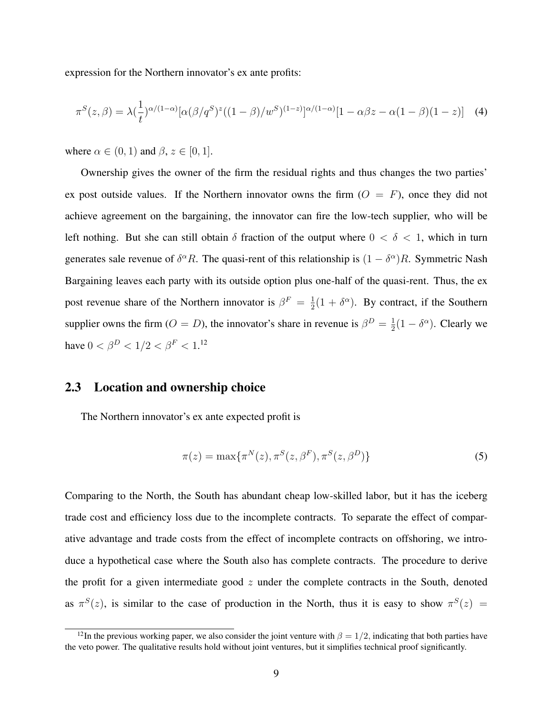expression for the Northern innovator's ex ante profits:

$$
\pi^{S}(z,\beta) = \lambda \left(\frac{1}{t}\right)^{\alpha/(1-\alpha)} [\alpha(\beta/q^{S})^{z}((1-\beta)/w^{S})^{(1-z)}]^{\alpha/(1-\alpha)}[1-\alpha\beta z - \alpha(1-\beta)(1-z)] \quad (4)
$$

where  $\alpha \in (0, 1)$  and  $\beta$ ,  $z \in [0, 1]$ .

Ownership gives the owner of the firm the residual rights and thus changes the two parties' ex post outside values. If the Northern innovator owns the firm  $(O = F)$ , once they did not achieve agreement on the bargaining, the innovator can fire the low-tech supplier, who will be left nothing. But she can still obtain  $\delta$  fraction of the output where  $0 < \delta < 1$ , which in turn generates sale revenue of  $\delta^{\alpha}R$ . The quasi-rent of this relationship is  $(1 - \delta^{\alpha})R$ . Symmetric Nash Bargaining leaves each party with its outside option plus one-half of the quasi-rent. Thus, the ex post revenue share of the Northern innovator is  $\beta^F = \frac{1}{2}$  $\frac{1}{2}(1 + \delta^{\alpha})$ . By contract, if the Southern supplier owns the firm ( $O = D$ ), the innovator's share in revenue is  $\beta^D = \frac{1}{2}$  $\frac{1}{2}(1 - \delta^{\alpha})$ . Clearly we have  $0 < \beta^D < 1/2 < \beta^F < 1.12$ 

#### 2.3 Location and ownership choice

The Northern innovator's ex ante expected profit is

$$
\pi(z) = \max{\{\pi^N(z), \pi^S(z, \beta^F), \pi^S(z, \beta^D)\}}
$$
\n(5)

Comparing to the North, the South has abundant cheap low-skilled labor, but it has the iceberg trade cost and efficiency loss due to the incomplete contracts. To separate the effect of comparative advantage and trade costs from the effect of incomplete contracts on offshoring, we introduce a hypothetical case where the South also has complete contracts. The procedure to derive the profit for a given intermediate good  $z$  under the complete contracts in the South, denoted as  $\pi^{S}(z)$ , is similar to the case of production in the North, thus it is easy to show  $\pi^{S}(z)$  =

<sup>&</sup>lt;sup>12</sup>In the previous working paper, we also consider the joint venture with  $\beta = 1/2$ , indicating that both parties have the veto power. The qualitative results hold without joint ventures, but it simplifies technical proof significantly.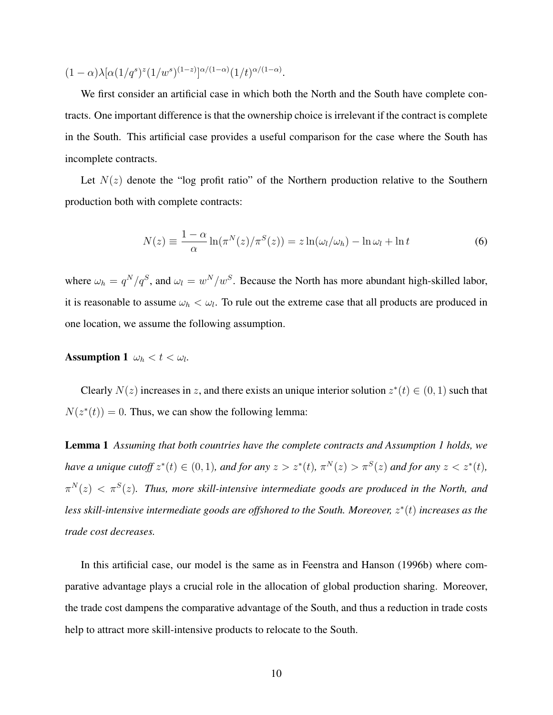$$
(1-\alpha)\lambda[\alpha(1/q^s)^z(1/w^s)^{(1-z)}]^{\alpha/(1-\alpha)}(1/t)^{\alpha/(1-\alpha)}.
$$

We first consider an artificial case in which both the North and the South have complete contracts. One important difference is that the ownership choice is irrelevant if the contract is complete in the South. This artificial case provides a useful comparison for the case where the South has incomplete contracts.

Let  $N(z)$  denote the "log profit ratio" of the Northern production relative to the Southern production both with complete contracts:

$$
N(z) \equiv \frac{1-\alpha}{\alpha} \ln(\pi^N(z)/\pi^S(z)) = z \ln(\omega_l/\omega_h) - \ln \omega_l + \ln t \tag{6}
$$

where  $\omega_h = q^N/q^S$ , and  $\omega_l = w^N/w^S$ . Because the North has more abundant high-skilled labor, it is reasonable to assume  $\omega_h < \omega_l$ . To rule out the extreme case that all products are produced in one location, we assume the following assumption.

Assumption 1  $\omega_h < t < \omega_l$ .

Clearly  $N(z)$  increases in z, and there exists an unique interior solution  $z^*(t) \in (0,1)$  such that  $N(z^*(t)) = 0$ . Thus, we can show the following lemma:

Lemma 1 *Assuming that both countries have the complete contracts and Assumption 1 holds, we have a unique cutoff*  $z^*(t) \in (0,1)$ *, and for any*  $z > z^*(t)$ *,*  $\pi^N(z) > \pi^S(z)$  *and for any*  $z < z^*(t)$ *,*  $\pi^N(z) < \pi^S(z)$ . Thus, more skill-intensive intermediate goods are produced in the North, and *less skill-intensive intermediate goods are offshored to the South. Moreover,* z ∗ (t) *increases as the trade cost decreases.*

In this artificial case, our model is the same as in Feenstra and Hanson (1996b) where comparative advantage plays a crucial role in the allocation of global production sharing. Moreover, the trade cost dampens the comparative advantage of the South, and thus a reduction in trade costs help to attract more skill-intensive products to relocate to the South.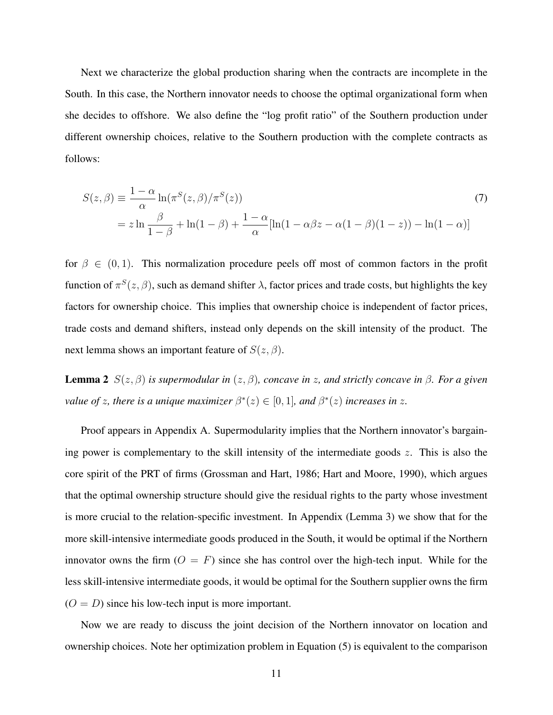Next we characterize the global production sharing when the contracts are incomplete in the South. In this case, the Northern innovator needs to choose the optimal organizational form when she decides to offshore. We also define the "log profit ratio" of the Southern production under different ownership choices, relative to the Southern production with the complete contracts as follows:

$$
S(z,\beta) \equiv \frac{1-\alpha}{\alpha} \ln(\pi^S(z,\beta)/\pi^S(z))
$$
  
=  $z \ln \frac{\beta}{1-\beta} + \ln(1-\beta) + \frac{1-\alpha}{\alpha} [\ln(1-\alpha\beta z - \alpha(1-\beta)(1-z)) - \ln(1-\alpha)]$  (7)

for  $\beta \in (0,1)$ . This normalization procedure peels off most of common factors in the profit function of  $\pi^{S}(z,\beta)$ , such as demand shifter  $\lambda$ , factor prices and trade costs, but highlights the key factors for ownership choice. This implies that ownership choice is independent of factor prices, trade costs and demand shifters, instead only depends on the skill intensity of the product. The next lemma shows an important feature of  $S(z, \beta)$ .

**Lemma 2**  $S(z, β)$  *is supermodular in*  $(z, β)$ *, concave in z, and strictly concave in*  $β$ *. For a given value of z, there is a unique maximizer*  $\beta^*(z) \in [0,1]$ *, and*  $\beta^*(z)$  *increases in z.* 

Proof appears in Appendix A. Supermodularity implies that the Northern innovator's bargaining power is complementary to the skill intensity of the intermediate goods  $z$ . This is also the core spirit of the PRT of firms (Grossman and Hart, 1986; Hart and Moore, 1990), which argues that the optimal ownership structure should give the residual rights to the party whose investment is more crucial to the relation-specific investment. In Appendix (Lemma 3) we show that for the more skill-intensive intermediate goods produced in the South, it would be optimal if the Northern innovator owns the firm  $(O = F)$  since she has control over the high-tech input. While for the less skill-intensive intermediate goods, it would be optimal for the Southern supplier owns the firm  $(O = D)$  since his low-tech input is more important.

Now we are ready to discuss the joint decision of the Northern innovator on location and ownership choices. Note her optimization problem in Equation (5) is equivalent to the comparison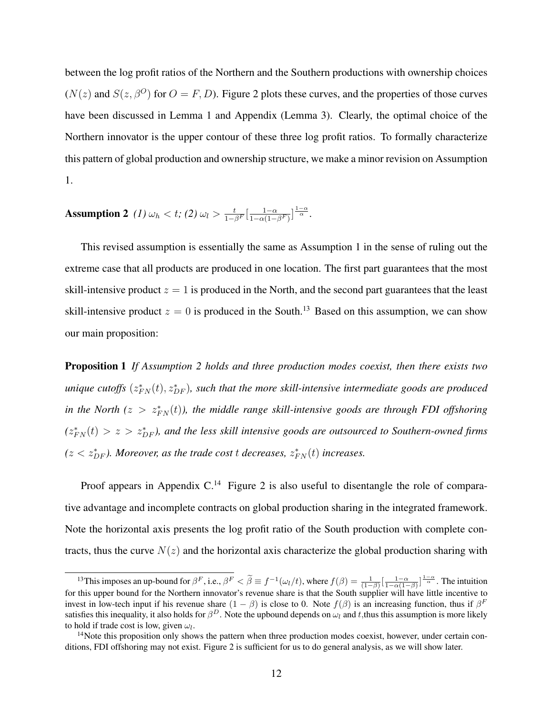between the log profit ratios of the Northern and the Southern productions with ownership choices  $(N(z)$  and  $S(z, \beta^O)$  for  $O = F, D$ ). Figure 2 plots these curves, and the properties of those curves have been discussed in Lemma 1 and Appendix (Lemma 3). Clearly, the optimal choice of the Northern innovator is the upper contour of these three log profit ratios. To formally characterize this pattern of global production and ownership structure, we make a minor revision on Assumption 1.

#### Assumption 2 *(1)*  $\omega_h < t$ ; *(2)*  $\omega_l > \frac{t}{1-\beta^F}[\frac{1-\alpha}{1-\alpha(1-\alpha)}]$  $\frac{1-\alpha}{1-\alpha(1-\beta^F)}\Big] \frac{1-\alpha}{\alpha}.$

This revised assumption is essentially the same as Assumption 1 in the sense of ruling out the extreme case that all products are produced in one location. The first part guarantees that the most skill-intensive product  $z = 1$  is produced in the North, and the second part guarantees that the least skill-intensive product  $z = 0$  is produced in the South.<sup>13</sup> Based on this assumption, we can show our main proposition:

Proposition 1 *If Assumption 2 holds and three production modes coexist, then there exists two unique cutoffs*  $(z_{FN}^*(t), z_{DF}^*)$ , such that the more skill-intensive intermediate goods are produced *in the North* ( $z > z_{FN}^*(t)$ ), the middle range skill-intensive goods are through FDI offshoring  $(z_{FN}^*(t) > z > z_{DF}^*)$ , and the less skill intensive goods are outsourced to Southern-owned firms  $(z < z_{DF}^*$ ). Moreover, as the trade cost *t* decreases,  $z_{FN}^*(t)$  increases.

Proof appears in Appendix  $C<sup>14</sup>$  Figure 2 is also useful to disentangle the role of comparative advantage and incomplete contracts on global production sharing in the integrated framework. Note the horizontal axis presents the log profit ratio of the South production with complete contracts, thus the curve  $N(z)$  and the horizontal axis characterize the global production sharing with

<sup>&</sup>lt;sup>13</sup>This imposes an up-bound for  $\beta^F$ , i.e.,  $\beta^F < \tilde{\beta} \equiv f^{-1}(\omega_l/t)$ , where  $f(\beta) = \frac{1}{(1-\beta)} \left[\frac{1-\alpha}{1-\alpha(1-\beta)}\right]^{\frac{1-\alpha}{\alpha}}$ . The intuition for this upper bound for the Northern innovator's revenue share is that the South supplier will have little incentive to invest in low-tech input if his revenue share  $(1 - \beta)$  is close to 0. Note  $f(\beta)$  is an increasing function, thus if  $\beta^F$ satisfies this inequality, it also holds for  $\beta^D$ . Note the upbound depends on  $\omega_l$  and t, thus this assumption is more likely to hold if trade cost is low, given  $\omega_l$ .

 $14$ Note this proposition only shows the pattern when three production modes coexist, however, under certain conditions, FDI offshoring may not exist. Figure 2 is sufficient for us to do general analysis, as we will show later.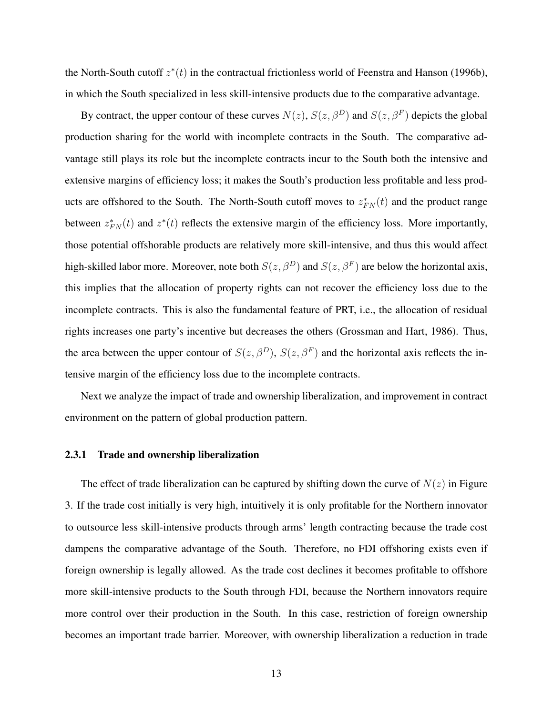the North-South cutoff  $z^*(t)$  in the contractual frictionless world of Feenstra and Hanson (1996b), in which the South specialized in less skill-intensive products due to the comparative advantage.

By contract, the upper contour of these curves  $N(z)$ ,  $S(z, \beta^D)$  and  $S(z, \beta^F)$  depicts the global production sharing for the world with incomplete contracts in the South. The comparative advantage still plays its role but the incomplete contracts incur to the South both the intensive and extensive margins of efficiency loss; it makes the South's production less profitable and less products are offshored to the South. The North-South cutoff moves to  $z_{FN}^*(t)$  and the product range between  $z_{FN}^*(t)$  and  $z^*(t)$  reflects the extensive margin of the efficiency loss. More importantly, those potential offshorable products are relatively more skill-intensive, and thus this would affect high-skilled labor more. Moreover, note both  $S(z, \beta^D)$  and  $S(z, \beta^F)$  are below the horizontal axis, this implies that the allocation of property rights can not recover the efficiency loss due to the incomplete contracts. This is also the fundamental feature of PRT, i.e., the allocation of residual rights increases one party's incentive but decreases the others (Grossman and Hart, 1986). Thus, the area between the upper contour of  $S(z, \beta^D)$ ,  $S(z, \beta^F)$  and the horizontal axis reflects the intensive margin of the efficiency loss due to the incomplete contracts.

Next we analyze the impact of trade and ownership liberalization, and improvement in contract environment on the pattern of global production pattern.

#### 2.3.1 Trade and ownership liberalization

The effect of trade liberalization can be captured by shifting down the curve of  $N(z)$  in Figure 3. If the trade cost initially is very high, intuitively it is only profitable for the Northern innovator to outsource less skill-intensive products through arms' length contracting because the trade cost dampens the comparative advantage of the South. Therefore, no FDI offshoring exists even if foreign ownership is legally allowed. As the trade cost declines it becomes profitable to offshore more skill-intensive products to the South through FDI, because the Northern innovators require more control over their production in the South. In this case, restriction of foreign ownership becomes an important trade barrier. Moreover, with ownership liberalization a reduction in trade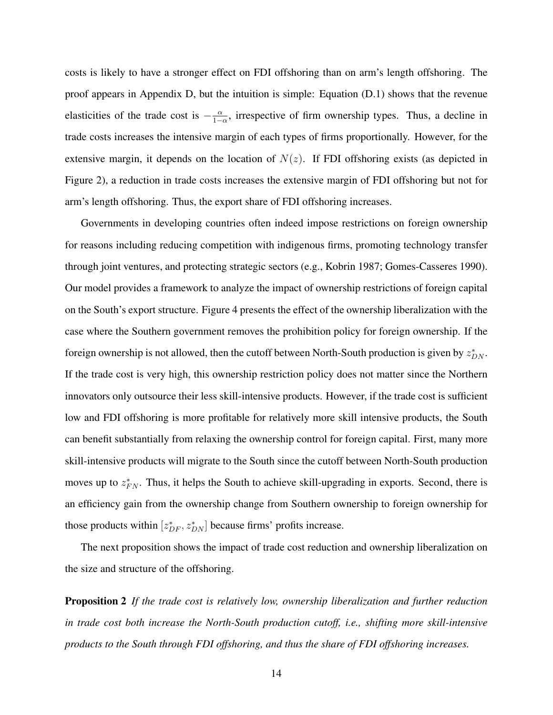costs is likely to have a stronger effect on FDI offshoring than on arm's length offshoring. The proof appears in Appendix D, but the intuition is simple: Equation (D.1) shows that the revenue elasticities of the trade cost is  $-\frac{\alpha}{1-\alpha}$  $\frac{\alpha}{1-\alpha}$ , irrespective of firm ownership types. Thus, a decline in trade costs increases the intensive margin of each types of firms proportionally. However, for the extensive margin, it depends on the location of  $N(z)$ . If FDI offshoring exists (as depicted in Figure 2), a reduction in trade costs increases the extensive margin of FDI offshoring but not for arm's length offshoring. Thus, the export share of FDI offshoring increases.

Governments in developing countries often indeed impose restrictions on foreign ownership for reasons including reducing competition with indigenous firms, promoting technology transfer through joint ventures, and protecting strategic sectors (e.g., Kobrin 1987; Gomes-Casseres 1990). Our model provides a framework to analyze the impact of ownership restrictions of foreign capital on the South's export structure. Figure 4 presents the effect of the ownership liberalization with the case where the Southern government removes the prohibition policy for foreign ownership. If the foreign ownership is not allowed, then the cutoff between North-South production is given by  $z_{DN}^*$ . If the trade cost is very high, this ownership restriction policy does not matter since the Northern innovators only outsource their less skill-intensive products. However, if the trade cost is sufficient low and FDI offshoring is more profitable for relatively more skill intensive products, the South can benefit substantially from relaxing the ownership control for foreign capital. First, many more skill-intensive products will migrate to the South since the cutoff between North-South production moves up to  $z_{FN}^*$ . Thus, it helps the South to achieve skill-upgrading in exports. Second, there is an efficiency gain from the ownership change from Southern ownership to foreign ownership for those products within  $[z_{DF}^*, z_{DN}^*]$  because firms' profits increase.

The next proposition shows the impact of trade cost reduction and ownership liberalization on the size and structure of the offshoring.

Proposition 2 *If the trade cost is relatively low, ownership liberalization and further reduction in trade cost both increase the North-South production cutoff, i.e., shifting more skill-intensive products to the South through FDI offshoring, and thus the share of FDI offshoring increases.*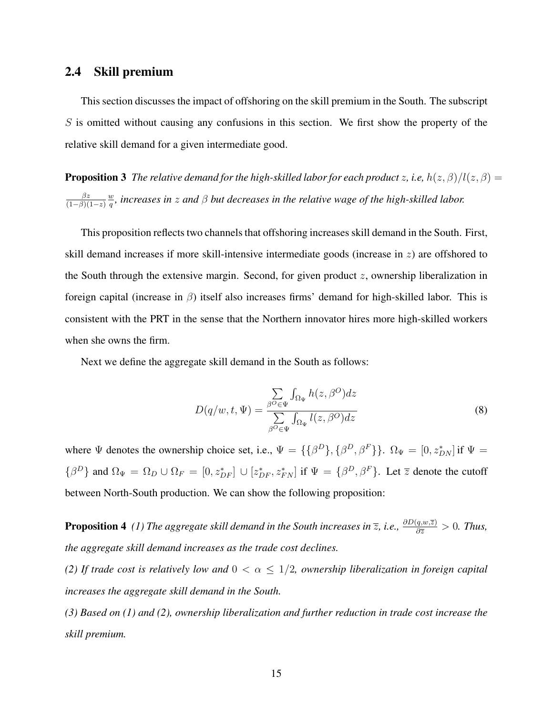### 2.4 Skill premium

This section discusses the impact of offshoring on the skill premium in the South. The subscript  $S$  is omitted without causing any confusions in this section. We first show the property of the relative skill demand for a given intermediate good.

**Proposition 3** *The relative demand for the high-skilled labor for each product z, i.e,*  $h(z, \beta)/l(z, \beta)$  =  $\beta z$  $(1-\beta)(1-z)$ w q *, increases in* z *and* β *but decreases in the relative wage of the high-skilled labor.*

This proposition reflects two channels that offshoring increases skill demand in the South. First, skill demand increases if more skill-intensive intermediate goods (increase in z) are offshored to the South through the extensive margin. Second, for given product  $z$ , ownership liberalization in foreign capital (increase in  $\beta$ ) itself also increases firms' demand for high-skilled labor. This is consistent with the PRT in the sense that the Northern innovator hires more high-skilled workers when she owns the firm.

Next we define the aggregate skill demand in the South as follows:

$$
D(q/w, t, \Psi) = \frac{\sum_{\beta^O \in \Psi} \int_{\Omega_{\Psi}} h(z, \beta^O) dz}{\sum_{\beta^O \in \Psi} \int_{\Omega_{\Psi}} l(z, \beta^O) dz}
$$
(8)

where  $\Psi$  denotes the ownership choice set, i.e.,  $\Psi = {\{\beta^D\}, {\{\beta^D,\beta^F\}\}}$ .  $\Omega_{\Psi} = [0, z^*_{DN}]$  if  $\Psi =$  $\{\beta^D\}$  and  $\Omega_\Psi = \Omega_D \cup \Omega_F = [0, z_{DF}^*] \cup [z_{DF}^*, z_{FN}^*]$  if  $\Psi = \{\beta^D, \beta^F\}$ . Let  $\overline{z}$  denote the cutoff between North-South production. We can show the following proposition:

**Proposition 4** *(1) The aggregate skill demand in the South increases in*  $\overline{z}$ , *i.e.*,  $\frac{\partial D(q,w,\overline{z})}{\partial \overline{z}} > 0$ . Thus, *the aggregate skill demand increases as the trade cost declines.*

*(2) If trade cost is relatively low and* 0 < α ≤ 1/2*, ownership liberalization in foreign capital increases the aggregate skill demand in the South.*

*(3) Based on (1) and (2), ownership liberalization and further reduction in trade cost increase the skill premium.*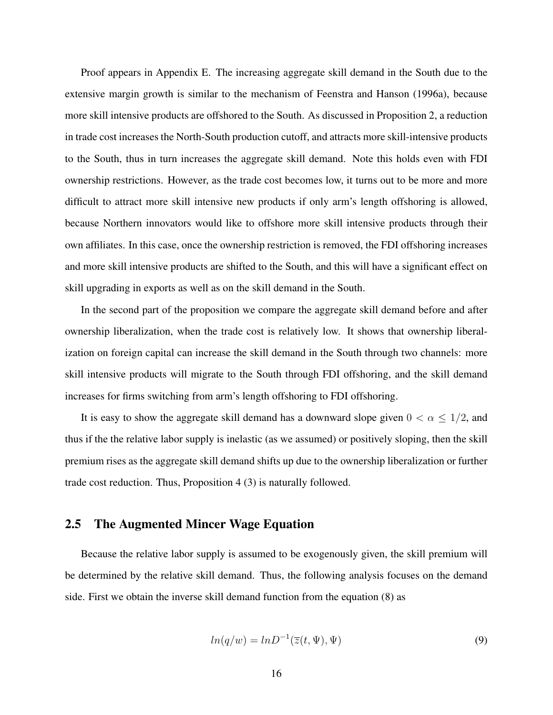Proof appears in Appendix E. The increasing aggregate skill demand in the South due to the extensive margin growth is similar to the mechanism of Feenstra and Hanson (1996a), because more skill intensive products are offshored to the South. As discussed in Proposition 2, a reduction in trade cost increases the North-South production cutoff, and attracts more skill-intensive products to the South, thus in turn increases the aggregate skill demand. Note this holds even with FDI ownership restrictions. However, as the trade cost becomes low, it turns out to be more and more difficult to attract more skill intensive new products if only arm's length offshoring is allowed, because Northern innovators would like to offshore more skill intensive products through their own affiliates. In this case, once the ownership restriction is removed, the FDI offshoring increases and more skill intensive products are shifted to the South, and this will have a significant effect on skill upgrading in exports as well as on the skill demand in the South.

In the second part of the proposition we compare the aggregate skill demand before and after ownership liberalization, when the trade cost is relatively low. It shows that ownership liberalization on foreign capital can increase the skill demand in the South through two channels: more skill intensive products will migrate to the South through FDI offshoring, and the skill demand increases for firms switching from arm's length offshoring to FDI offshoring.

It is easy to show the aggregate skill demand has a downward slope given  $0 < \alpha \leq 1/2$ , and thus if the the relative labor supply is inelastic (as we assumed) or positively sloping, then the skill premium rises as the aggregate skill demand shifts up due to the ownership liberalization or further trade cost reduction. Thus, Proposition 4 (3) is naturally followed.

#### 2.5 The Augmented Mincer Wage Equation

Because the relative labor supply is assumed to be exogenously given, the skill premium will be determined by the relative skill demand. Thus, the following analysis focuses on the demand side. First we obtain the inverse skill demand function from the equation (8) as

$$
ln(q/w) = lnD^{-1}(\overline{z}(t, \Psi), \Psi)
$$
\n(9)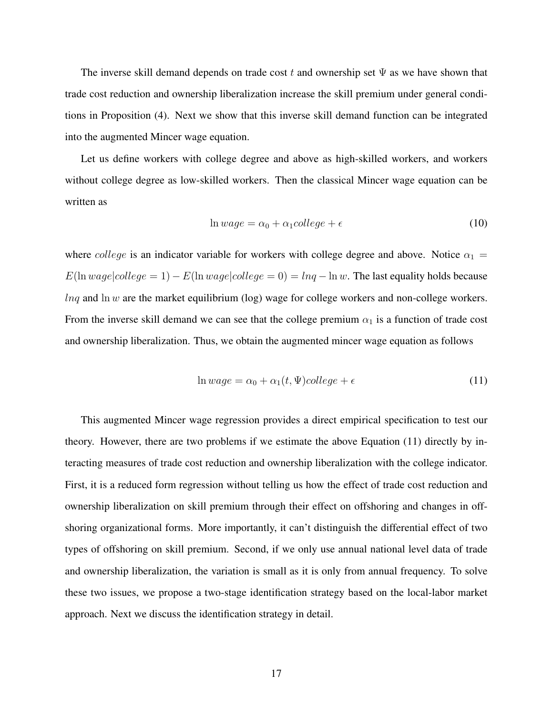The inverse skill demand depends on trade cost t and ownership set  $\Psi$  as we have shown that trade cost reduction and ownership liberalization increase the skill premium under general conditions in Proposition (4). Next we show that this inverse skill demand function can be integrated into the augmented Mincer wage equation.

Let us define workers with college degree and above as high-skilled workers, and workers without college degree as low-skilled workers. Then the classical Mincer wage equation can be written as

$$
\ln wage = \alpha_0 + \alpha_1 college + \epsilon \tag{10}
$$

where college is an indicator variable for workers with college degree and above. Notice  $\alpha_1 =$  $E(\ln wage| college = 1) - E(\ln wage| college = 0) = lnq - ln w$ . The last equality holds because  $lnq$  and  $ln w$  are the market equilibrium (log) wage for college workers and non-college workers. From the inverse skill demand we can see that the college premium  $\alpha_1$  is a function of trade cost and ownership liberalization. Thus, we obtain the augmented mincer wage equation as follows

$$
\ln wage = \alpha_0 + \alpha_1(t, \Psi) college + \epsilon \tag{11}
$$

This augmented Mincer wage regression provides a direct empirical specification to test our theory. However, there are two problems if we estimate the above Equation (11) directly by interacting measures of trade cost reduction and ownership liberalization with the college indicator. First, it is a reduced form regression without telling us how the effect of trade cost reduction and ownership liberalization on skill premium through their effect on offshoring and changes in offshoring organizational forms. More importantly, it can't distinguish the differential effect of two types of offshoring on skill premium. Second, if we only use annual national level data of trade and ownership liberalization, the variation is small as it is only from annual frequency. To solve these two issues, we propose a two-stage identification strategy based on the local-labor market approach. Next we discuss the identification strategy in detail.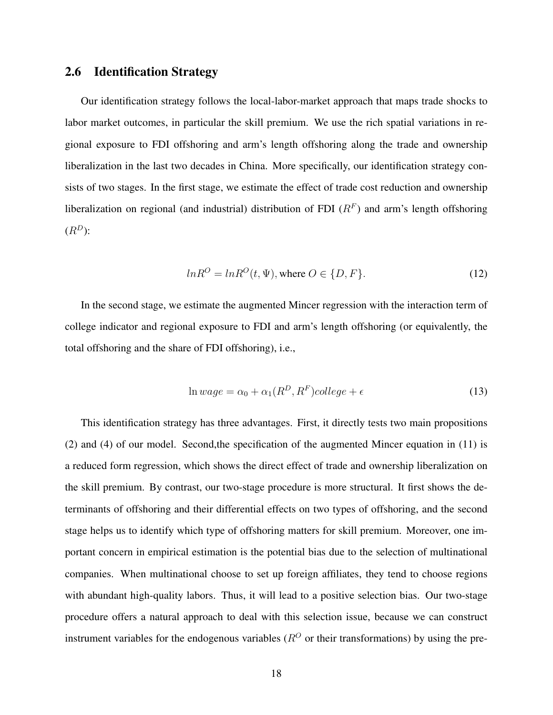### 2.6 Identification Strategy

Our identification strategy follows the local-labor-market approach that maps trade shocks to labor market outcomes, in particular the skill premium. We use the rich spatial variations in regional exposure to FDI offshoring and arm's length offshoring along the trade and ownership liberalization in the last two decades in China. More specifically, our identification strategy consists of two stages. In the first stage, we estimate the effect of trade cost reduction and ownership liberalization on regional (and industrial) distribution of FDI  $(R<sup>F</sup>)$  and arm's length offshoring  $(R^D)$ :

$$
ln R^{O} = ln R^{O}(t, \Psi), \text{ where } O \in \{D, F\}. \tag{12}
$$

In the second stage, we estimate the augmented Mincer regression with the interaction term of college indicator and regional exposure to FDI and arm's length offshoring (or equivalently, the total offshoring and the share of FDI offshoring), i.e.,

$$
\ln wage = \alpha_0 + \alpha_1(R^D, R^F) college + \epsilon \tag{13}
$$

This identification strategy has three advantages. First, it directly tests two main propositions (2) and (4) of our model. Second,the specification of the augmented Mincer equation in (11) is a reduced form regression, which shows the direct effect of trade and ownership liberalization on the skill premium. By contrast, our two-stage procedure is more structural. It first shows the determinants of offshoring and their differential effects on two types of offshoring, and the second stage helps us to identify which type of offshoring matters for skill premium. Moreover, one important concern in empirical estimation is the potential bias due to the selection of multinational companies. When multinational choose to set up foreign affiliates, they tend to choose regions with abundant high-quality labors. Thus, it will lead to a positive selection bias. Our two-stage procedure offers a natural approach to deal with this selection issue, because we can construct instrument variables for the endogenous variables ( $R^{O}$  or their transformations) by using the pre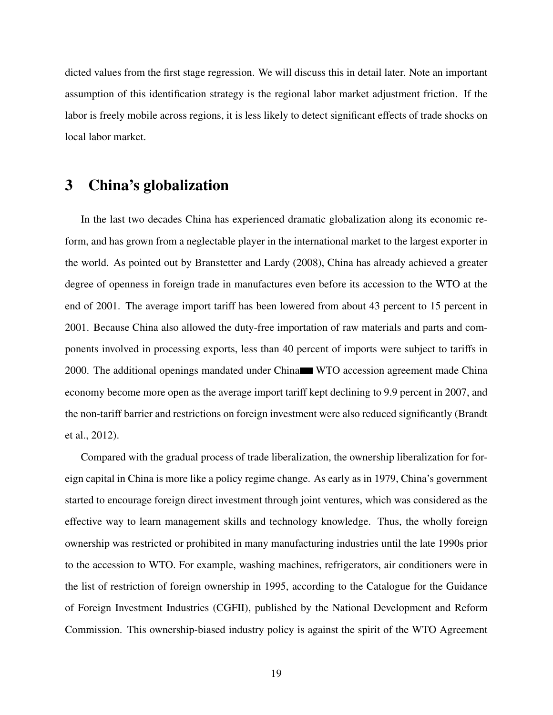dicted values from the first stage regression. We will discuss this in detail later. Note an important assumption of this identification strategy is the regional labor market adjustment friction. If the labor is freely mobile across regions, it is less likely to detect significant effects of trade shocks on local labor market.

### 3 China's globalization

In the last two decades China has experienced dramatic globalization along its economic reform, and has grown from a neglectable player in the international market to the largest exporter in the world. As pointed out by Branstetter and Lardy (2008), China has already achieved a greater degree of openness in foreign trade in manufactures even before its accession to the WTO at the end of 2001. The average import tariff has been lowered from about 43 percent to 15 percent in 2001. Because China also allowed the duty-free importation of raw materials and parts and components involved in processing exports, less than 40 percent of imports were subject to tariffs in 2000. The additional openings mandated under China WTO accession agreement made China economy become more open as the average import tariff kept declining to 9.9 percent in 2007, and the non-tariff barrier and restrictions on foreign investment were also reduced significantly (Brandt et al., 2012).

Compared with the gradual process of trade liberalization, the ownership liberalization for foreign capital in China is more like a policy regime change. As early as in 1979, China's government started to encourage foreign direct investment through joint ventures, which was considered as the effective way to learn management skills and technology knowledge. Thus, the wholly foreign ownership was restricted or prohibited in many manufacturing industries until the late 1990s prior to the accession to WTO. For example, washing machines, refrigerators, air conditioners were in the list of restriction of foreign ownership in 1995, according to the Catalogue for the Guidance of Foreign Investment Industries (CGFII), published by the National Development and Reform Commission. This ownership-biased industry policy is against the spirit of the WTO Agreement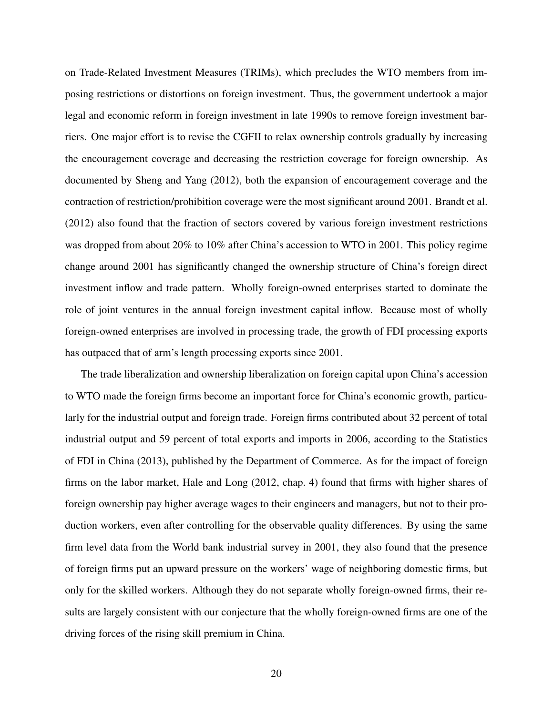on Trade-Related Investment Measures (TRIMs), which precludes the WTO members from imposing restrictions or distortions on foreign investment. Thus, the government undertook a major legal and economic reform in foreign investment in late 1990s to remove foreign investment barriers. One major effort is to revise the CGFII to relax ownership controls gradually by increasing the encouragement coverage and decreasing the restriction coverage for foreign ownership. As documented by Sheng and Yang (2012), both the expansion of encouragement coverage and the contraction of restriction/prohibition coverage were the most significant around 2001. Brandt et al. (2012) also found that the fraction of sectors covered by various foreign investment restrictions was dropped from about 20% to 10% after China's accession to WTO in 2001. This policy regime change around 2001 has significantly changed the ownership structure of China's foreign direct investment inflow and trade pattern. Wholly foreign-owned enterprises started to dominate the role of joint ventures in the annual foreign investment capital inflow. Because most of wholly foreign-owned enterprises are involved in processing trade, the growth of FDI processing exports has outpaced that of arm's length processing exports since 2001.

The trade liberalization and ownership liberalization on foreign capital upon China's accession to WTO made the foreign firms become an important force for China's economic growth, particularly for the industrial output and foreign trade. Foreign firms contributed about 32 percent of total industrial output and 59 percent of total exports and imports in 2006, according to the Statistics of FDI in China (2013), published by the Department of Commerce. As for the impact of foreign firms on the labor market, Hale and Long (2012, chap. 4) found that firms with higher shares of foreign ownership pay higher average wages to their engineers and managers, but not to their production workers, even after controlling for the observable quality differences. By using the same firm level data from the World bank industrial survey in 2001, they also found that the presence of foreign firms put an upward pressure on the workers' wage of neighboring domestic firms, but only for the skilled workers. Although they do not separate wholly foreign-owned firms, their results are largely consistent with our conjecture that the wholly foreign-owned firms are one of the driving forces of the rising skill premium in China.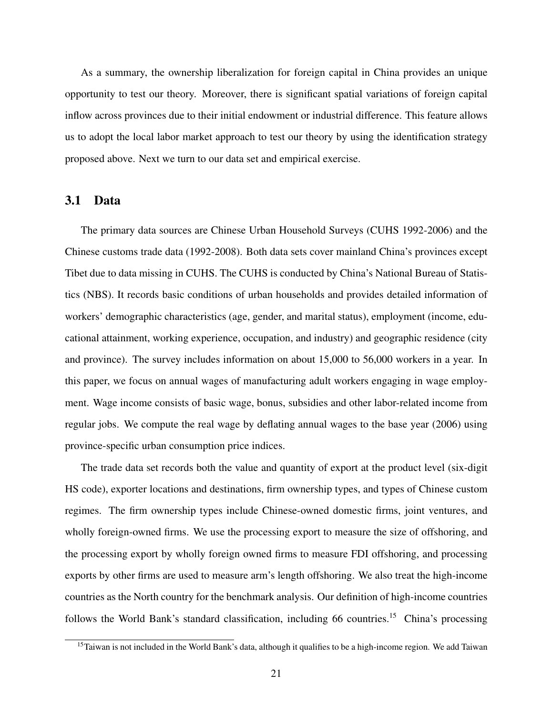As a summary, the ownership liberalization for foreign capital in China provides an unique opportunity to test our theory. Moreover, there is significant spatial variations of foreign capital inflow across provinces due to their initial endowment or industrial difference. This feature allows us to adopt the local labor market approach to test our theory by using the identification strategy proposed above. Next we turn to our data set and empirical exercise.

#### 3.1 Data

The primary data sources are Chinese Urban Household Surveys (CUHS 1992-2006) and the Chinese customs trade data (1992-2008). Both data sets cover mainland China's provinces except Tibet due to data missing in CUHS. The CUHS is conducted by China's National Bureau of Statistics (NBS). It records basic conditions of urban households and provides detailed information of workers' demographic characteristics (age, gender, and marital status), employment (income, educational attainment, working experience, occupation, and industry) and geographic residence (city and province). The survey includes information on about 15,000 to 56,000 workers in a year. In this paper, we focus on annual wages of manufacturing adult workers engaging in wage employment. Wage income consists of basic wage, bonus, subsidies and other labor-related income from regular jobs. We compute the real wage by deflating annual wages to the base year (2006) using province-specific urban consumption price indices.

The trade data set records both the value and quantity of export at the product level (six-digit HS code), exporter locations and destinations, firm ownership types, and types of Chinese custom regimes. The firm ownership types include Chinese-owned domestic firms, joint ventures, and wholly foreign-owned firms. We use the processing export to measure the size of offshoring, and the processing export by wholly foreign owned firms to measure FDI offshoring, and processing exports by other firms are used to measure arm's length offshoring. We also treat the high-income countries as the North country for the benchmark analysis. Our definition of high-income countries follows the World Bank's standard classification, including 66 countries.<sup>15</sup> China's processing

<sup>&</sup>lt;sup>15</sup>Taiwan is not included in the World Bank's data, although it qualifies to be a high-income region. We add Taiwan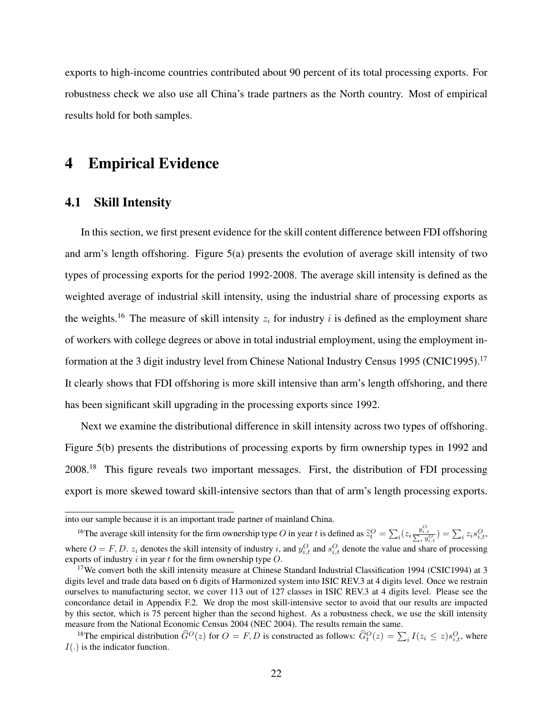exports to high-income countries contributed about 90 percent of its total processing exports. For robustness check we also use all China's trade partners as the North country. Most of empirical results hold for both samples.

### 4 Empirical Evidence

### 4.1 Skill Intensity

In this section, we first present evidence for the skill content difference between FDI offshoring and arm's length offshoring. Figure 5(a) presents the evolution of average skill intensity of two types of processing exports for the period 1992-2008. The average skill intensity is defined as the weighted average of industrial skill intensity, using the industrial share of processing exports as the weights.<sup>16</sup> The measure of skill intensity  $z_i$  for industry i is defined as the employment share of workers with college degrees or above in total industrial employment, using the employment information at the 3 digit industry level from Chinese National Industry Census 1995 (CNIC1995).<sup>17</sup> It clearly shows that FDI offshoring is more skill intensive than arm's length offshoring, and there has been significant skill upgrading in the processing exports since 1992.

Next we examine the distributional difference in skill intensity across two types of offshoring. Figure 5(b) presents the distributions of processing exports by firm ownership types in 1992 and 2008.<sup>18</sup> This figure reveals two important messages. First, the distribution of FDI processing export is more skewed toward skill-intensive sectors than that of arm's length processing exports.

into our sample because it is an important trade partner of mainland China.

<sup>&</sup>lt;sup>16</sup>The average skill intensity for the firm ownership type O in year t is defined as  $\tilde{z}_t^O = \sum_i (z_i \frac{y_{i,t}^O}{\sum_i y_{i,t}^O}) = \sum_i z_i s_{i,t}^O$ where  $O = F$ , D.  $z_i$  denotes the skill intensity of industry i, and  $y_{i,t}^O$  and  $s_{i,t}^O$  denote the value and share of processing exports of industry i in year t for the firm ownership type  $O$ .

<sup>&</sup>lt;sup>17</sup>We convert both the skill intensity measure at Chinese Standard Industrial Classification 1994 (CSIC1994) at 3 digits level and trade data based on 6 digits of Harmonized system into ISIC REV.3 at 4 digits level. Once we restrain ourselves to manufacturing sector, we cover 113 out of 127 classes in ISIC REV.3 at 4 digits level. Please see the concordance detail in Appendix F.2. We drop the most skill-intensive sector to avoid that our results are impacted by this sector, which is 75 percent higher than the second highest. As a robustness check, we use the skill intensity measure from the National Economic Census 2004 (NEC 2004). The results remain the same.

<sup>&</sup>lt;sup>18</sup>The empirical distribution  $\widehat{G}^O(z)$  for  $O = F, D$  is constructed as follows:  $\widehat{G}_t^O(z) = \sum_i I(z_i \leq z) s_{i,t}^O$ , where  $I(.)$  is the indicator function.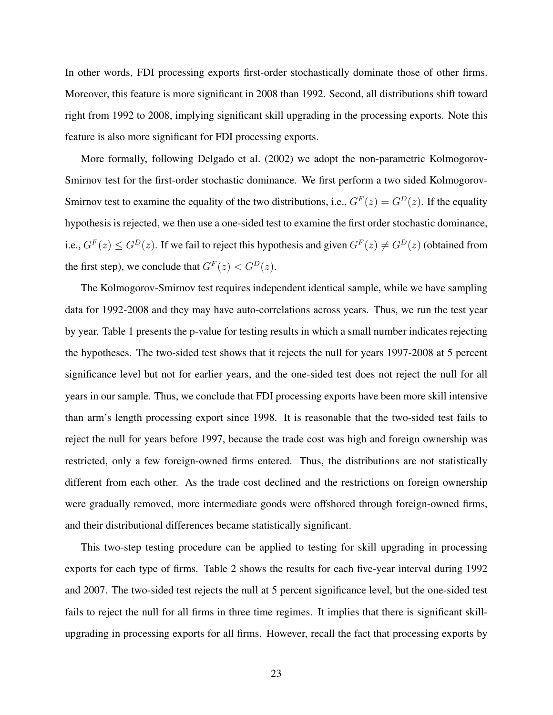In other words, FDI processing exports first-order stochastically dominate those of other firms. Moreover, this feature is more significant in 2008 than 1992. Second, all distributions shift toward right from 1992 to 2008, implying significant skill upgrading in the processing exports. Note this feature is also more significant for FDI processing exports.

More formally, following Delgado et al. (2002) we adopt the non-parametric Kolmogorov-Smirnov test for the first-order stochastic dominance. We first perform a two sided Kolmogorov-Smirnov test to examine the equality of the two distributions, i.e.,  $G^F(z) = G^D(z)$ . If the equality hypothesis is rejected, we then use a one-sided test to examine the first order stochastic dominance, i.e.,  $G^F(z) \leq G^D(z)$ . If we fail to reject this hypothesis and given  $G^F(z) \neq G^D(z)$  (obtained from the first step), we conclude that  $G^F(z) < G^D(z)$ .

The Kolmogorov-Smirnov test requires independent identical sample, while we have sampling data for 1992-2008 and they may have auto-correlations across years. Thus, we run the test year by year. Table 1 presents the p-value for testing results in which a small number indicates rejecting the hypotheses. The two-sided test shows that it rejects the null for years 1997-2008 at 5 percent significance level but not for earlier years, and the one-sided test does not reject the null for all years in our sample. Thus, we conclude that FDI processing exports have been more skill intensive than arm's length processing export since 1998. It is reasonable that the two-sided test fails to reject the null for years before 1997, because the trade cost was high and foreign ownership was restricted, only a few foreign-owned firms entered. Thus, the distributions are not statistically different from each other. As the trade cost declined and the restrictions on foreign ownership were gradually removed, more intermediate goods were offshored through foreign-owned firms, and their distributional differences became statistically significant.

This two-step testing procedure can be applied to testing for skill upgrading in processing exports for each type of firms. Table 2 shows the results for each five-year interval during 1992 and 2007. The two-sided test rejects the null at 5 percent significance level, but the one-sided test fails to reject the null for all firms in three time regimes. It implies that there is significant skillupgrading in processing exports for all firms. However, recall the fact that processing exports by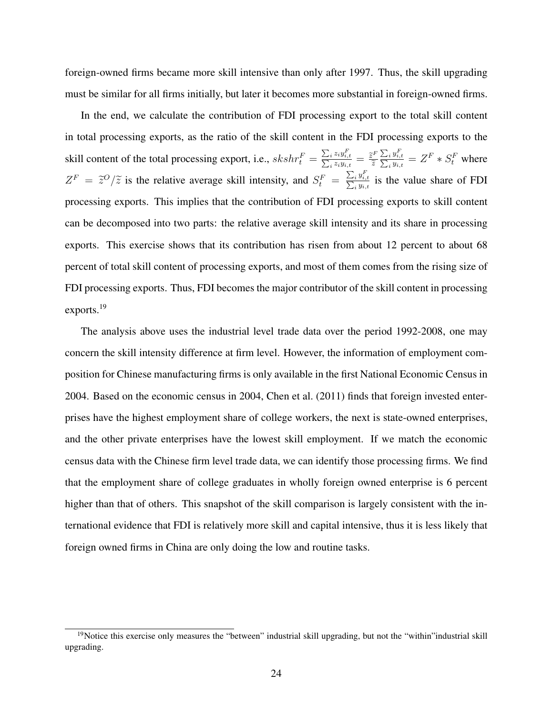foreign-owned firms became more skill intensive than only after 1997. Thus, the skill upgrading must be similar for all firms initially, but later it becomes more substantial in foreign-owned firms.

In the end, we calculate the contribution of FDI processing export to the total skill content in total processing exports, as the ratio of the skill content in the FDI processing exports to the skill content of the total processing export, i.e.,  $skshr_t^F = \frac{\sum_i z_i y_i^F_i}{\sum_i z_i y_i}$  $\frac{\sum_i z_i y_{i,t}}{\sum_i z_i y_{i,t}}$  $\frac{i}{\tilde{z}_iy_{i,t}^r}{\tilde{z}_iy_{i,t}}=\frac{\widetilde{z}^F}{\widetilde{z}}$  $\widetilde{z}$  $\sum_i y_i^F$  $\frac{\sum_i y_{i,t}}{\sum_i y_{i,t}}$  $\frac{i}{g} \frac{y_{i,t}}{y_{i,t}} = Z^F * S_t^F$  where  $Z^F = \tilde{z}^O/\tilde{z}$  is the relative average skill intensity, and  $S_t^F = \frac{\sum_i y_{i,j}^F}{\sum_i y_{i,j}}$  $\frac{\sum_i y_{i,t}}{\sum_i y_{i,t}}$  $\frac{i}{y_{i,t}}$  is the value share of FDI processing exports. This implies that the contribution of FDI processing exports to skill content can be decomposed into two parts: the relative average skill intensity and its share in processing exports. This exercise shows that its contribution has risen from about 12 percent to about 68 percent of total skill content of processing exports, and most of them comes from the rising size of FDI processing exports. Thus, FDI becomes the major contributor of the skill content in processing exports.<sup>19</sup>

The analysis above uses the industrial level trade data over the period 1992-2008, one may concern the skill intensity difference at firm level. However, the information of employment composition for Chinese manufacturing firms is only available in the first National Economic Census in 2004. Based on the economic census in 2004, Chen et al. (2011) finds that foreign invested enterprises have the highest employment share of college workers, the next is state-owned enterprises, and the other private enterprises have the lowest skill employment. If we match the economic census data with the Chinese firm level trade data, we can identify those processing firms. We find that the employment share of college graduates in wholly foreign owned enterprise is 6 percent higher than that of others. This snapshot of the skill comparison is largely consistent with the international evidence that FDI is relatively more skill and capital intensive, thus it is less likely that foreign owned firms in China are only doing the low and routine tasks.

<sup>&</sup>lt;sup>19</sup>Notice this exercise only measures the "between" industrial skill upgrading, but not the "within"industrial skill upgrading.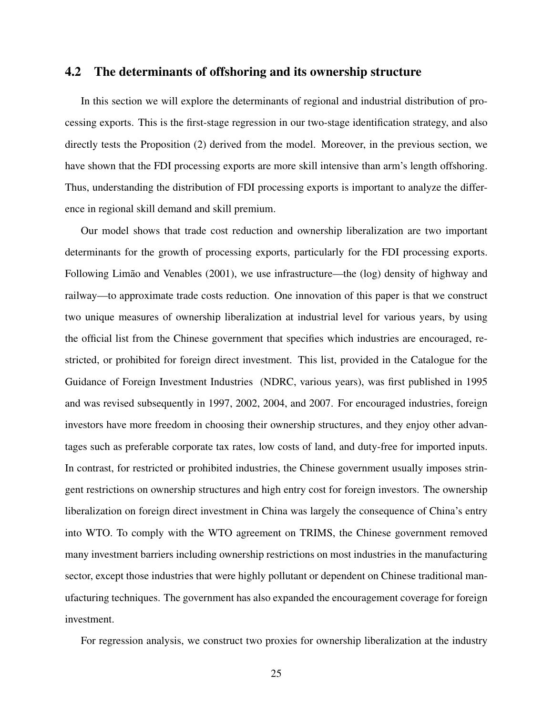#### 4.2 The determinants of offshoring and its ownership structure

In this section we will explore the determinants of regional and industrial distribution of processing exports. This is the first-stage regression in our two-stage identification strategy, and also directly tests the Proposition (2) derived from the model. Moreover, in the previous section, we have shown that the FDI processing exports are more skill intensive than arm's length offshoring. Thus, understanding the distribution of FDI processing exports is important to analyze the difference in regional skill demand and skill premium.

Our model shows that trade cost reduction and ownership liberalization are two important determinants for the growth of processing exports, particularly for the FDI processing exports. Following Limão and Venables (2001), we use infrastructure—the (log) density of highway and railway—to approximate trade costs reduction. One innovation of this paper is that we construct two unique measures of ownership liberalization at industrial level for various years, by using the official list from the Chinese government that specifies which industries are encouraged, restricted, or prohibited for foreign direct investment. This list, provided in the Catalogue for the Guidance of Foreign Investment Industries (NDRC, various years), was first published in 1995 and was revised subsequently in 1997, 2002, 2004, and 2007. For encouraged industries, foreign investors have more freedom in choosing their ownership structures, and they enjoy other advantages such as preferable corporate tax rates, low costs of land, and duty-free for imported inputs. In contrast, for restricted or prohibited industries, the Chinese government usually imposes stringent restrictions on ownership structures and high entry cost for foreign investors. The ownership liberalization on foreign direct investment in China was largely the consequence of China's entry into WTO. To comply with the WTO agreement on TRIMS, the Chinese government removed many investment barriers including ownership restrictions on most industries in the manufacturing sector, except those industries that were highly pollutant or dependent on Chinese traditional manufacturing techniques. The government has also expanded the encouragement coverage for foreign investment.

For regression analysis, we construct two proxies for ownership liberalization at the industry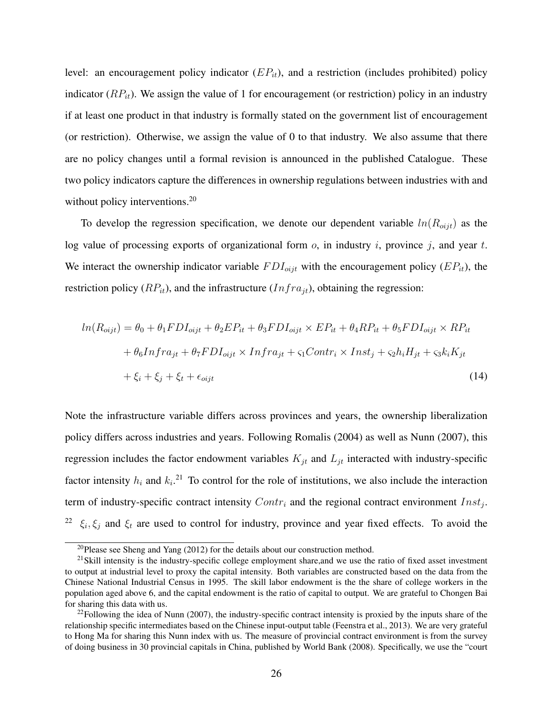level: an encouragement policy indicator  $(EP_{it})$ , and a restriction (includes prohibited) policy indicator  $(RP_{it})$ . We assign the value of 1 for encouragement (or restriction) policy in an industry if at least one product in that industry is formally stated on the government list of encouragement (or restriction). Otherwise, we assign the value of 0 to that industry. We also assume that there are no policy changes until a formal revision is announced in the published Catalogue. These two policy indicators capture the differences in ownership regulations between industries with and without policy interventions.<sup>20</sup>

To develop the regression specification, we denote our dependent variable  $ln(R_{oijt})$  as the log value of processing exports of organizational form  $o$ , in industry i, province j, and year t. We interact the ownership indicator variable  $FDI_{oijt}$  with the encouragement policy ( $EP_{it}$ ), the restriction policy  $(RP_{it})$ , and the infrastructure  $(Infra_{it})$ , obtaining the regression:

$$
ln(R_{oijt}) = \theta_0 + \theta_1 FDI_{oijt} + \theta_2 EP_{it} + \theta_3 FDI_{oijt} \times EP_{it} + \theta_4 RP_{it} + \theta_5 FDI_{oijt} \times RP_{it}
$$
  
+ 
$$
\theta_6 Infra_{jt} + \theta_7 FDI_{oijt} \times Infra_{jt} + \varsigma_1 Contr_i \times Inst_j + \varsigma_2 h_i H_{jt} + \varsigma_3 k_i K_{jt}
$$
  
+ 
$$
\xi_i + \xi_j + \xi_t + \epsilon_{oijt}
$$
 (14)

Note the infrastructure variable differs across provinces and years, the ownership liberalization policy differs across industries and years. Following Romalis (2004) as well as Nunn (2007), this regression includes the factor endowment variables  $K_{jt}$  and  $L_{jt}$  interacted with industry-specific factor intensity  $h_i$  and  $k_i$ .<sup>21</sup> To control for the role of institutions, we also include the interaction term of industry-specific contract intensity  $Contr_i$  and the regional contract environment  $Inst_j$ . <sup>22</sup>  $\xi_i, \xi_j$  and  $\xi_t$  are used to control for industry, province and year fixed effects. To avoid the

<sup>&</sup>lt;sup>20</sup>Please see Sheng and Yang  $(2012)$  for the details about our construction method.

 $21$ Skill intensity is the industry-specific college employment share, and we use the ratio of fixed asset investment to output at industrial level to proxy the capital intensity. Both variables are constructed based on the data from the Chinese National Industrial Census in 1995. The skill labor endowment is the the share of college workers in the population aged above 6, and the capital endowment is the ratio of capital to output. We are grateful to Chongen Bai for sharing this data with us.

 $22$ Following the idea of Nunn (2007), the industry-specific contract intensity is proxied by the inputs share of the relationship specific intermediates based on the Chinese input-output table (Feenstra et al., 2013). We are very grateful to Hong Ma for sharing this Nunn index with us. The measure of provincial contract environment is from the survey of doing business in 30 provincial capitals in China, published by World Bank (2008). Specifically, we use the "court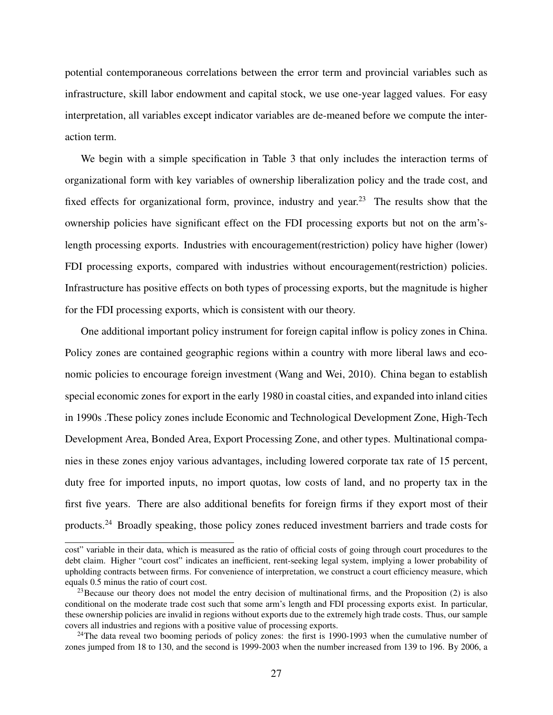potential contemporaneous correlations between the error term and provincial variables such as infrastructure, skill labor endowment and capital stock, we use one-year lagged values. For easy interpretation, all variables except indicator variables are de-meaned before we compute the interaction term.

We begin with a simple specification in Table 3 that only includes the interaction terms of organizational form with key variables of ownership liberalization policy and the trade cost, and fixed effects for organizational form, province, industry and year.<sup>23</sup> The results show that the ownership policies have significant effect on the FDI processing exports but not on the arm'slength processing exports. Industries with encouragement(restriction) policy have higher (lower) FDI processing exports, compared with industries without encouragement(restriction) policies. Infrastructure has positive effects on both types of processing exports, but the magnitude is higher for the FDI processing exports, which is consistent with our theory.

One additional important policy instrument for foreign capital inflow is policy zones in China. Policy zones are contained geographic regions within a country with more liberal laws and economic policies to encourage foreign investment (Wang and Wei, 2010). China began to establish special economic zones for export in the early 1980 in coastal cities, and expanded into inland cities in 1990s .These policy zones include Economic and Technological Development Zone, High-Tech Development Area, Bonded Area, Export Processing Zone, and other types. Multinational companies in these zones enjoy various advantages, including lowered corporate tax rate of 15 percent, duty free for imported inputs, no import quotas, low costs of land, and no property tax in the first five years. There are also additional benefits for foreign firms if they export most of their products.<sup>24</sup> Broadly speaking, those policy zones reduced investment barriers and trade costs for

cost" variable in their data, which is measured as the ratio of official costs of going through court procedures to the debt claim. Higher "court cost" indicates an inefficient, rent-seeking legal system, implying a lower probability of upholding contracts between firms. For convenience of interpretation, we construct a court efficiency measure, which equals 0.5 minus the ratio of court cost.

<sup>&</sup>lt;sup>23</sup>Because our theory does not model the entry decision of multinational firms, and the Proposition  $(2)$  is also conditional on the moderate trade cost such that some arm's length and FDI processing exports exist. In particular, these ownership policies are invalid in regions without exports due to the extremely high trade costs. Thus, our sample covers all industries and regions with a positive value of processing exports.

<sup>&</sup>lt;sup>24</sup>The data reveal two booming periods of policy zones: the first is 1990-1993 when the cumulative number of zones jumped from 18 to 130, and the second is 1999-2003 when the number increased from 139 to 196. By 2006, a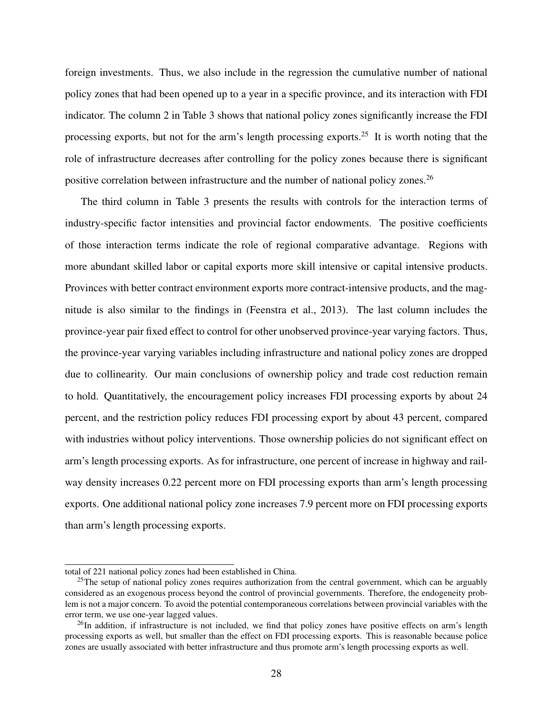foreign investments. Thus, we also include in the regression the cumulative number of national policy zones that had been opened up to a year in a specific province, and its interaction with FDI indicator. The column 2 in Table 3 shows that national policy zones significantly increase the FDI processing exports, but not for the arm's length processing exports.<sup>25</sup> It is worth noting that the role of infrastructure decreases after controlling for the policy zones because there is significant positive correlation between infrastructure and the number of national policy zones.<sup>26</sup>

The third column in Table 3 presents the results with controls for the interaction terms of industry-specific factor intensities and provincial factor endowments. The positive coefficients of those interaction terms indicate the role of regional comparative advantage. Regions with more abundant skilled labor or capital exports more skill intensive or capital intensive products. Provinces with better contract environment exports more contract-intensive products, and the magnitude is also similar to the findings in (Feenstra et al., 2013). The last column includes the province-year pair fixed effect to control for other unobserved province-year varying factors. Thus, the province-year varying variables including infrastructure and national policy zones are dropped due to collinearity. Our main conclusions of ownership policy and trade cost reduction remain to hold. Quantitatively, the encouragement policy increases FDI processing exports by about 24 percent, and the restriction policy reduces FDI processing export by about 43 percent, compared with industries without policy interventions. Those ownership policies do not significant effect on arm's length processing exports. As for infrastructure, one percent of increase in highway and railway density increases 0.22 percent more on FDI processing exports than arm's length processing exports. One additional national policy zone increases 7.9 percent more on FDI processing exports than arm's length processing exports.

total of 221 national policy zones had been established in China.

<sup>&</sup>lt;sup>25</sup>The setup of national policy zones requires authorization from the central government, which can be arguably considered as an exogenous process beyond the control of provincial governments. Therefore, the endogeneity problem is not a major concern. To avoid the potential contemporaneous correlations between provincial variables with the error term, we use one-year lagged values.

 $^{26}$ In addition, if infrastructure is not included, we find that policy zones have positive effects on arm's length processing exports as well, but smaller than the effect on FDI processing exports. This is reasonable because police zones are usually associated with better infrastructure and thus promote arm's length processing exports as well.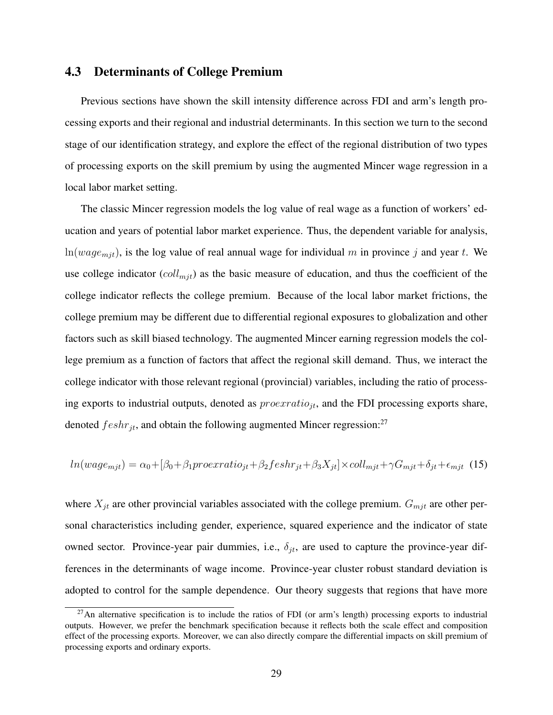### 4.3 Determinants of College Premium

Previous sections have shown the skill intensity difference across FDI and arm's length processing exports and their regional and industrial determinants. In this section we turn to the second stage of our identification strategy, and explore the effect of the regional distribution of two types of processing exports on the skill premium by using the augmented Mincer wage regression in a local labor market setting.

The classic Mincer regression models the log value of real wage as a function of workers' education and years of potential labor market experience. Thus, the dependent variable for analysis,  $ln(wage_{mit})$ , is the log value of real annual wage for individual m in province j and year t. We use college indicator  $\left(\frac{coll_{mjt}}{)}$  as the basic measure of education, and thus the coefficient of the college indicator reflects the college premium. Because of the local labor market frictions, the college premium may be different due to differential regional exposures to globalization and other factors such as skill biased technology. The augmented Mincer earning regression models the college premium as a function of factors that affect the regional skill demand. Thus, we interact the college indicator with those relevant regional (provincial) variables, including the ratio of processing exports to industrial outputs, denoted as  $proexratio_{it}$ , and the FDI processing exports share, denoted  $feshr_{jt}$ , and obtain the following augmented Mincer regression:<sup>27</sup>

$$
ln(wage_{mjt}) = \alpha_0 + [\beta_0 + \beta_1 proexratio_{jt} + \beta_2 feshr_{jt} + \beta_3 X_{jt}] \times coll_{mjt} + \gamma G_{mjt} + \delta_{jt} + \epsilon_{mjt} \tag{15}
$$

where  $X_{jt}$  are other provincial variables associated with the college premium.  $G_{mjt}$  are other personal characteristics including gender, experience, squared experience and the indicator of state owned sector. Province-year pair dummies, i.e.,  $\delta_{it}$ , are used to capture the province-year differences in the determinants of wage income. Province-year cluster robust standard deviation is adopted to control for the sample dependence. Our theory suggests that regions that have more

 $^{27}$ An alternative specification is to include the ratios of FDI (or arm's length) processing exports to industrial outputs. However, we prefer the benchmark specification because it reflects both the scale effect and composition effect of the processing exports. Moreover, we can also directly compare the differential impacts on skill premium of processing exports and ordinary exports.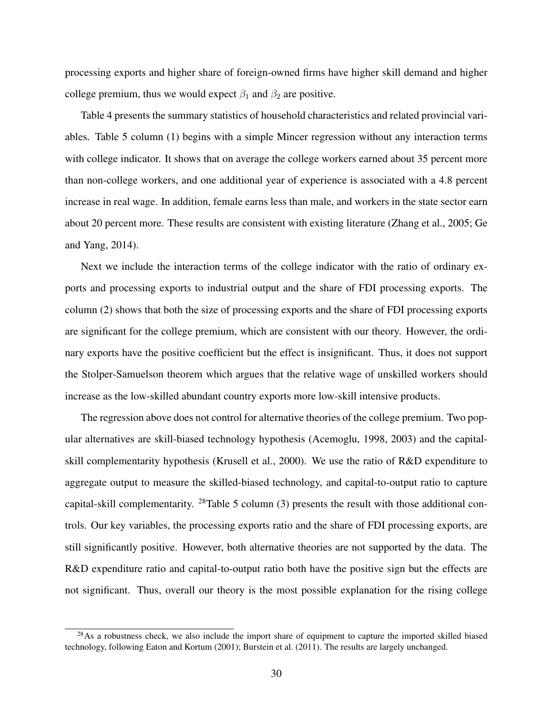processing exports and higher share of foreign-owned firms have higher skill demand and higher college premium, thus we would expect  $\beta_1$  and  $\beta_2$  are positive.

Table 4 presents the summary statistics of household characteristics and related provincial variables. Table 5 column (1) begins with a simple Mincer regression without any interaction terms with college indicator. It shows that on average the college workers earned about 35 percent more than non-college workers, and one additional year of experience is associated with a 4.8 percent increase in real wage. In addition, female earns less than male, and workers in the state sector earn about 20 percent more. These results are consistent with existing literature (Zhang et al., 2005; Ge and Yang, 2014).

Next we include the interaction terms of the college indicator with the ratio of ordinary exports and processing exports to industrial output and the share of FDI processing exports. The column (2) shows that both the size of processing exports and the share of FDI processing exports are significant for the college premium, which are consistent with our theory. However, the ordinary exports have the positive coefficient but the effect is insignificant. Thus, it does not support the Stolper-Samuelson theorem which argues that the relative wage of unskilled workers should increase as the low-skilled abundant country exports more low-skill intensive products.

The regression above does not control for alternative theories of the college premium. Two popular alternatives are skill-biased technology hypothesis (Acemoglu, 1998, 2003) and the capitalskill complementarity hypothesis (Krusell et al., 2000). We use the ratio of R&D expenditure to aggregate output to measure the skilled-biased technology, and capital-to-output ratio to capture capital-skill complementarity.  $^{28}$ Table 5 column (3) presents the result with those additional controls. Our key variables, the processing exports ratio and the share of FDI processing exports, are still significantly positive. However, both alternative theories are not supported by the data. The R&D expenditure ratio and capital-to-output ratio both have the positive sign but the effects are not significant. Thus, overall our theory is the most possible explanation for the rising college

<sup>&</sup>lt;sup>28</sup>As a robustness check, we also include the import share of equipment to capture the imported skilled biased technology, following Eaton and Kortum (2001); Burstein et al. (2011). The results are largely unchanged.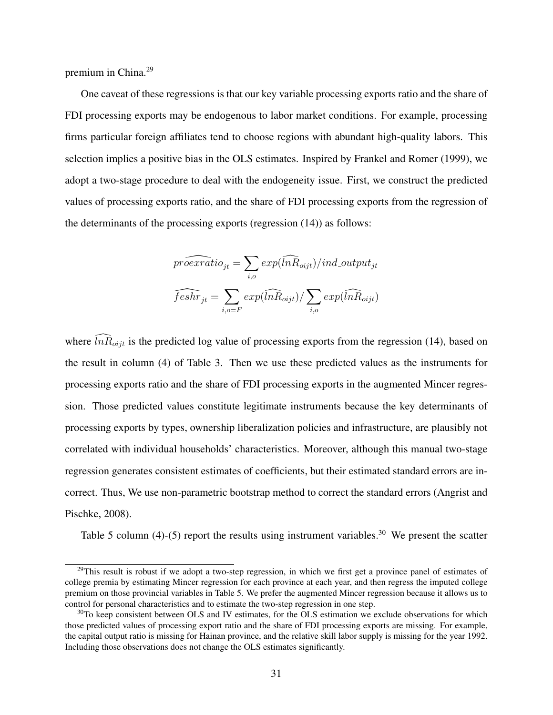premium in China.<sup>29</sup>

One caveat of these regressions is that our key variable processing exports ratio and the share of FDI processing exports may be endogenous to labor market conditions. For example, processing firms particular foreign affiliates tend to choose regions with abundant high-quality labors. This selection implies a positive bias in the OLS estimates. Inspired by Frankel and Romer (1999), we adopt a two-stage procedure to deal with the endogeneity issue. First, we construct the predicted values of processing exports ratio, and the share of FDI processing exports from the regression of the determinants of the processing exports (regression (14)) as follows:

$$
\widehat{proexratio}_{jt} = \sum_{i,o} exp(\widehat{lnR}_{oijt})/ind\_output_{jt}
$$

$$
\widehat{feshr}_{jt} = \sum_{i,o=F} exp(\widehat{lnR}_{oijt}) / \sum_{i,o} exp(\widehat{lnR}_{oijt})
$$

where  $\widehat{lnR}_{oijt}$  is the predicted log value of processing exports from the regression (14), based on the result in column (4) of Table 3. Then we use these predicted values as the instruments for processing exports ratio and the share of FDI processing exports in the augmented Mincer regression. Those predicted values constitute legitimate instruments because the key determinants of processing exports by types, ownership liberalization policies and infrastructure, are plausibly not correlated with individual households' characteristics. Moreover, although this manual two-stage regression generates consistent estimates of coefficients, but their estimated standard errors are incorrect. Thus, We use non-parametric bootstrap method to correct the standard errors (Angrist and Pischke, 2008).

Table 5 column (4)-(5) report the results using instrument variables.<sup>30</sup> We present the scatter

 $^{29}$ This result is robust if we adopt a two-step regression, in which we first get a province panel of estimates of college premia by estimating Mincer regression for each province at each year, and then regress the imputed college premium on those provincial variables in Table 5. We prefer the augmented Mincer regression because it allows us to control for personal characteristics and to estimate the two-step regression in one step.

<sup>&</sup>lt;sup>30</sup>To keep consistent between OLS and IV estimates, for the OLS estimation we exclude observations for which those predicted values of processing export ratio and the share of FDI processing exports are missing. For example, the capital output ratio is missing for Hainan province, and the relative skill labor supply is missing for the year 1992. Including those observations does not change the OLS estimates significantly.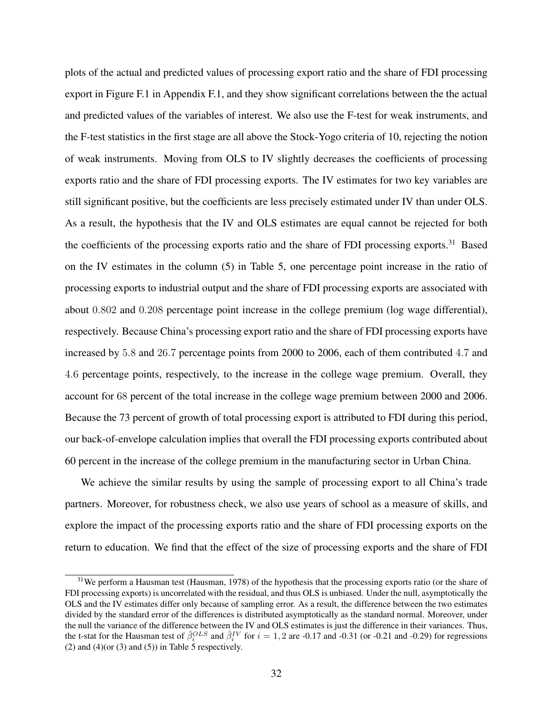plots of the actual and predicted values of processing export ratio and the share of FDI processing export in Figure F.1 in Appendix F.1, and they show significant correlations between the the actual and predicted values of the variables of interest. We also use the F-test for weak instruments, and the F-test statistics in the first stage are all above the Stock-Yogo criteria of 10, rejecting the notion of weak instruments. Moving from OLS to IV slightly decreases the coefficients of processing exports ratio and the share of FDI processing exports. The IV estimates for two key variables are still significant positive, but the coefficients are less precisely estimated under IV than under OLS. As a result, the hypothesis that the IV and OLS estimates are equal cannot be rejected for both the coefficients of the processing exports ratio and the share of FDI processing exports.<sup>31</sup> Based on the IV estimates in the column (5) in Table 5, one percentage point increase in the ratio of processing exports to industrial output and the share of FDI processing exports are associated with about 0.802 and 0.208 percentage point increase in the college premium (log wage differential), respectively. Because China's processing export ratio and the share of FDI processing exports have increased by 5.8 and 26.7 percentage points from 2000 to 2006, each of them contributed 4.7 and 4.6 percentage points, respectively, to the increase in the college wage premium. Overall, they account for 68 percent of the total increase in the college wage premium between 2000 and 2006. Because the 73 percent of growth of total processing export is attributed to FDI during this period, our back-of-envelope calculation implies that overall the FDI processing exports contributed about 60 percent in the increase of the college premium in the manufacturing sector in Urban China.

We achieve the similar results by using the sample of processing export to all China's trade partners. Moreover, for robustness check, we also use years of school as a measure of skills, and explore the impact of the processing exports ratio and the share of FDI processing exports on the return to education. We find that the effect of the size of processing exports and the share of FDI

 $31$ We perform a Hausman test (Hausman, 1978) of the hypothesis that the processing exports ratio (or the share of FDI processing exports) is uncorrelated with the residual, and thus OLS is unbiased. Under the null, asymptotically the OLS and the IV estimates differ only because of sampling error. As a result, the difference between the two estimates divided by the standard error of the differences is distributed asymptotically as the standard normal. Moreover, under the null the variance of the difference between the IV and OLS estimates is just the difference in their variances. Thus, the t-stat for the Hausman test of  $\hat{\beta}_i^{OLS}$  and  $\hat{\beta}_i^{IV}$  for  $i = 1, 2$  are -0.17 and -0.31 (or -0.21 and -0.29) for regressions (2) and  $(4)$ (or  $(3)$  and  $(5)$ ) in Table 5 respectively.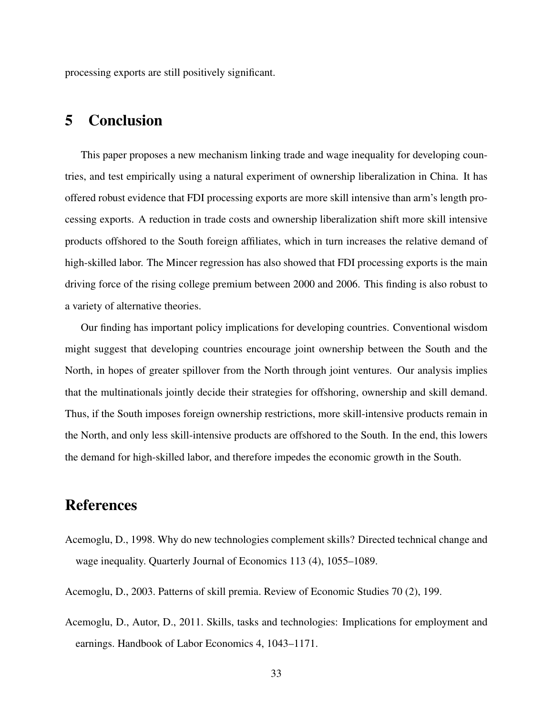processing exports are still positively significant.

### 5 Conclusion

This paper proposes a new mechanism linking trade and wage inequality for developing countries, and test empirically using a natural experiment of ownership liberalization in China. It has offered robust evidence that FDI processing exports are more skill intensive than arm's length processing exports. A reduction in trade costs and ownership liberalization shift more skill intensive products offshored to the South foreign affiliates, which in turn increases the relative demand of high-skilled labor. The Mincer regression has also showed that FDI processing exports is the main driving force of the rising college premium between 2000 and 2006. This finding is also robust to a variety of alternative theories.

Our finding has important policy implications for developing countries. Conventional wisdom might suggest that developing countries encourage joint ownership between the South and the North, in hopes of greater spillover from the North through joint ventures. Our analysis implies that the multinationals jointly decide their strategies for offshoring, ownership and skill demand. Thus, if the South imposes foreign ownership restrictions, more skill-intensive products remain in the North, and only less skill-intensive products are offshored to the South. In the end, this lowers the demand for high-skilled labor, and therefore impedes the economic growth in the South.

### References

- Acemoglu, D., 1998. Why do new technologies complement skills? Directed technical change and wage inequality. Quarterly Journal of Economics 113 (4), 1055–1089.
- Acemoglu, D., 2003. Patterns of skill premia. Review of Economic Studies 70 (2), 199.
- Acemoglu, D., Autor, D., 2011. Skills, tasks and technologies: Implications for employment and earnings. Handbook of Labor Economics 4, 1043–1171.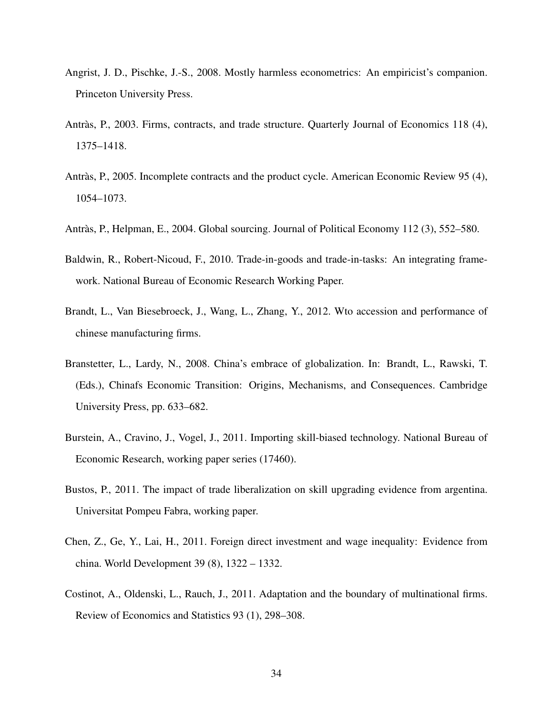- Angrist, J. D., Pischke, J.-S., 2008. Mostly harmless econometrics: An empiricist's companion. Princeton University Press.
- Antràs, P., 2003. Firms, contracts, and trade structure. Quarterly Journal of Economics 118 (4), 1375–1418.
- Antràs, P., 2005. Incomplete contracts and the product cycle. American Economic Review 95 (4), 1054–1073.
- Antràs, P., Helpman, E., 2004. Global sourcing. Journal of Political Economy 112 (3), 552–580.
- Baldwin, R., Robert-Nicoud, F., 2010. Trade-in-goods and trade-in-tasks: An integrating framework. National Bureau of Economic Research Working Paper.
- Brandt, L., Van Biesebroeck, J., Wang, L., Zhang, Y., 2012. Wto accession and performance of chinese manufacturing firms.
- Branstetter, L., Lardy, N., 2008. China's embrace of globalization. In: Brandt, L., Rawski, T. (Eds.), Chinafs Economic Transition: Origins, Mechanisms, and Consequences. Cambridge University Press, pp. 633–682.
- Burstein, A., Cravino, J., Vogel, J., 2011. Importing skill-biased technology. National Bureau of Economic Research, working paper series (17460).
- Bustos, P., 2011. The impact of trade liberalization on skill upgrading evidence from argentina. Universitat Pompeu Fabra, working paper.
- Chen, Z., Ge, Y., Lai, H., 2011. Foreign direct investment and wage inequality: Evidence from china. World Development 39 (8), 1322 – 1332.
- Costinot, A., Oldenski, L., Rauch, J., 2011. Adaptation and the boundary of multinational firms. Review of Economics and Statistics 93 (1), 298–308.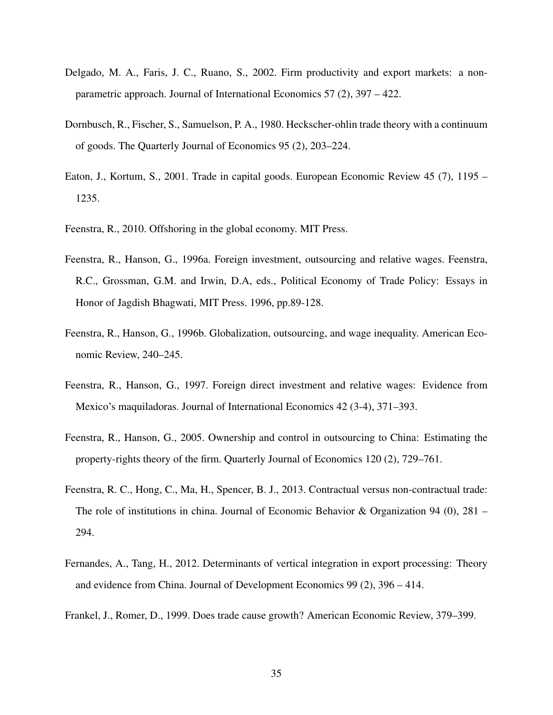- Delgado, M. A., Faris, J. C., Ruano, S., 2002. Firm productivity and export markets: a nonparametric approach. Journal of International Economics 57 (2), 397 – 422.
- Dornbusch, R., Fischer, S., Samuelson, P. A., 1980. Heckscher-ohlin trade theory with a continuum of goods. The Quarterly Journal of Economics 95 (2), 203–224.
- Eaton, J., Kortum, S., 2001. Trade in capital goods. European Economic Review 45 (7), 1195 1235.
- Feenstra, R., 2010. Offshoring in the global economy. MIT Press.
- Feenstra, R., Hanson, G., 1996a. Foreign investment, outsourcing and relative wages. Feenstra, R.C., Grossman, G.M. and Irwin, D.A, eds., Political Economy of Trade Policy: Essays in Honor of Jagdish Bhagwati, MIT Press. 1996, pp.89-128.
- Feenstra, R., Hanson, G., 1996b. Globalization, outsourcing, and wage inequality. American Economic Review, 240–245.
- Feenstra, R., Hanson, G., 1997. Foreign direct investment and relative wages: Evidence from Mexico's maquiladoras. Journal of International Economics 42 (3-4), 371–393.
- Feenstra, R., Hanson, G., 2005. Ownership and control in outsourcing to China: Estimating the property-rights theory of the firm. Quarterly Journal of Economics 120 (2), 729–761.
- Feenstra, R. C., Hong, C., Ma, H., Spencer, B. J., 2013. Contractual versus non-contractual trade: The role of institutions in china. Journal of Economic Behavior & Organization 94 (0), 281 – 294.
- Fernandes, A., Tang, H., 2012. Determinants of vertical integration in export processing: Theory and evidence from China. Journal of Development Economics 99 (2), 396 – 414.
- Frankel, J., Romer, D., 1999. Does trade cause growth? American Economic Review, 379–399.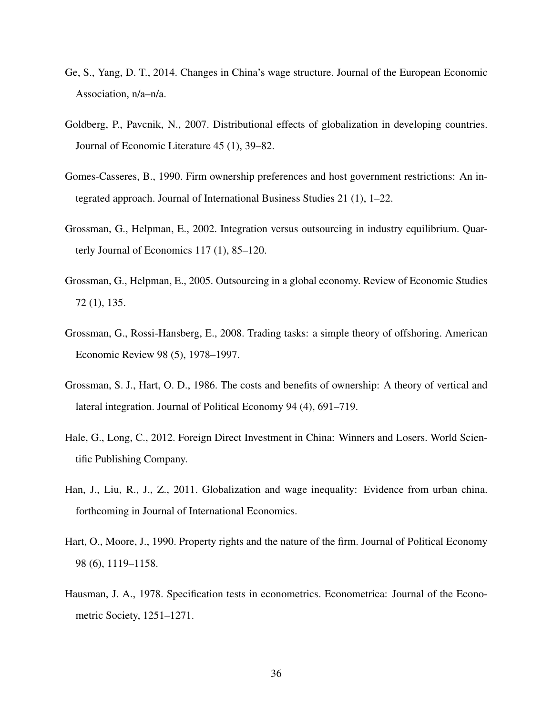- Ge, S., Yang, D. T., 2014. Changes in China's wage structure. Journal of the European Economic Association, n/a–n/a.
- Goldberg, P., Pavcnik, N., 2007. Distributional effects of globalization in developing countries. Journal of Economic Literature 45 (1), 39–82.
- Gomes-Casseres, B., 1990. Firm ownership preferences and host government restrictions: An integrated approach. Journal of International Business Studies 21 (1), 1–22.
- Grossman, G., Helpman, E., 2002. Integration versus outsourcing in industry equilibrium. Quarterly Journal of Economics 117 (1), 85–120.
- Grossman, G., Helpman, E., 2005. Outsourcing in a global economy. Review of Economic Studies 72 (1), 135.
- Grossman, G., Rossi-Hansberg, E., 2008. Trading tasks: a simple theory of offshoring. American Economic Review 98 (5), 1978–1997.
- Grossman, S. J., Hart, O. D., 1986. The costs and benefits of ownership: A theory of vertical and lateral integration. Journal of Political Economy 94 (4), 691–719.
- Hale, G., Long, C., 2012. Foreign Direct Investment in China: Winners and Losers. World Scientific Publishing Company.
- Han, J., Liu, R., J., Z., 2011. Globalization and wage inequality: Evidence from urban china. forthcoming in Journal of International Economics.
- Hart, O., Moore, J., 1990. Property rights and the nature of the firm. Journal of Political Economy 98 (6), 1119–1158.
- Hausman, J. A., 1978. Specification tests in econometrics. Econometrica: Journal of the Econometric Society, 1251–1271.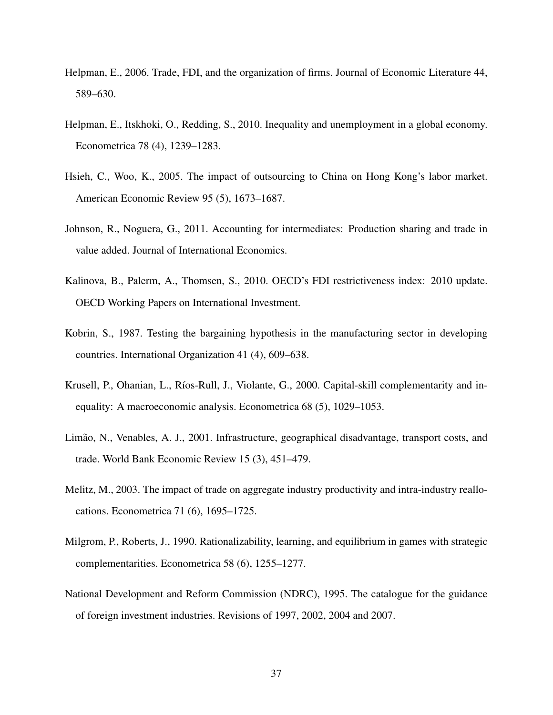- Helpman, E., 2006. Trade, FDI, and the organization of firms. Journal of Economic Literature 44, 589–630.
- Helpman, E., Itskhoki, O., Redding, S., 2010. Inequality and unemployment in a global economy. Econometrica 78 (4), 1239–1283.
- Hsieh, C., Woo, K., 2005. The impact of outsourcing to China on Hong Kong's labor market. American Economic Review 95 (5), 1673–1687.
- Johnson, R., Noguera, G., 2011. Accounting for intermediates: Production sharing and trade in value added. Journal of International Economics.
- Kalinova, B., Palerm, A., Thomsen, S., 2010. OECD's FDI restrictiveness index: 2010 update. OECD Working Papers on International Investment.
- Kobrin, S., 1987. Testing the bargaining hypothesis in the manufacturing sector in developing countries. International Organization 41 (4), 609–638.
- Krusell, P., Ohanian, L., Ríos-Rull, J., Violante, G., 2000. Capital-skill complementarity and inequality: A macroeconomic analysis. Econometrica 68 (5), 1029–1053.
- Limão, N., Venables, A. J., 2001. Infrastructure, geographical disadvantage, transport costs, and trade. World Bank Economic Review 15 (3), 451–479.
- Melitz, M., 2003. The impact of trade on aggregate industry productivity and intra-industry reallocations. Econometrica 71 (6), 1695–1725.
- Milgrom, P., Roberts, J., 1990. Rationalizability, learning, and equilibrium in games with strategic complementarities. Econometrica 58 (6), 1255–1277.
- National Development and Reform Commission (NDRC), 1995. The catalogue for the guidance of foreign investment industries. Revisions of 1997, 2002, 2004 and 2007.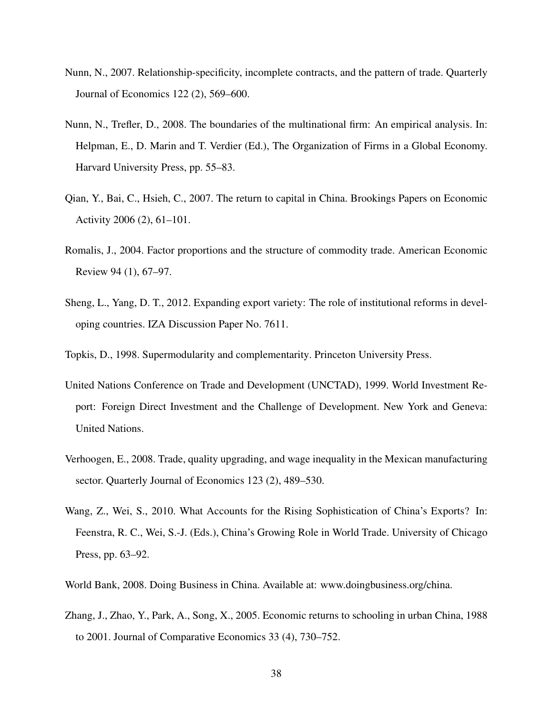- Nunn, N., 2007. Relationship-specificity, incomplete contracts, and the pattern of trade. Quarterly Journal of Economics 122 (2), 569–600.
- Nunn, N., Trefler, D., 2008. The boundaries of the multinational firm: An empirical analysis. In: Helpman, E., D. Marin and T. Verdier (Ed.), The Organization of Firms in a Global Economy. Harvard University Press, pp. 55–83.
- Qian, Y., Bai, C., Hsieh, C., 2007. The return to capital in China. Brookings Papers on Economic Activity 2006 (2), 61–101.
- Romalis, J., 2004. Factor proportions and the structure of commodity trade. American Economic Review 94 (1), 67–97.
- Sheng, L., Yang, D. T., 2012. Expanding export variety: The role of institutional reforms in developing countries. IZA Discussion Paper No. 7611.

Topkis, D., 1998. Supermodularity and complementarity. Princeton University Press.

- United Nations Conference on Trade and Development (UNCTAD), 1999. World Investment Report: Foreign Direct Investment and the Challenge of Development. New York and Geneva: United Nations.
- Verhoogen, E., 2008. Trade, quality upgrading, and wage inequality in the Mexican manufacturing sector. Quarterly Journal of Economics 123 (2), 489–530.
- Wang, Z., Wei, S., 2010. What Accounts for the Rising Sophistication of China's Exports? In: Feenstra, R. C., Wei, S.-J. (Eds.), China's Growing Role in World Trade. University of Chicago Press, pp. 63–92.
- World Bank, 2008. Doing Business in China. Available at: www.doingbusiness.org/china.
- Zhang, J., Zhao, Y., Park, A., Song, X., 2005. Economic returns to schooling in urban China, 1988 to 2001. Journal of Comparative Economics 33 (4), 730–752.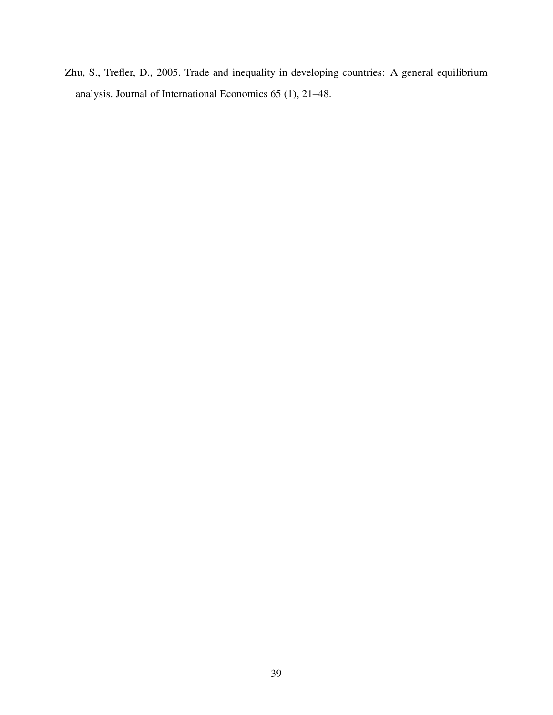Zhu, S., Trefler, D., 2005. Trade and inequality in developing countries: A general equilibrium analysis. Journal of International Economics 65 (1), 21–48.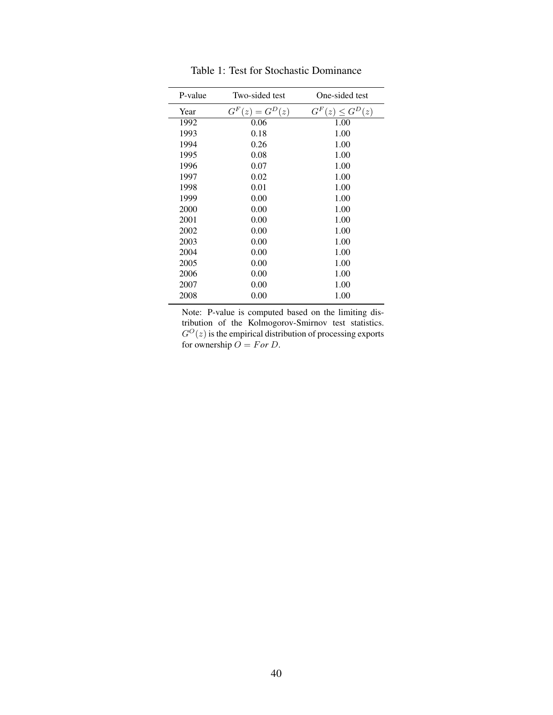| P-value | Two-sided test            | One-sided test             |
|---------|---------------------------|----------------------------|
| Year    | $G^F$<br>$(z) = G^{D}(z)$ | $G^F$<br>$(z) \leq G^D(z)$ |
| 1992    | 0.06                      | 1.00                       |
| 1993    | 0.18                      | 1.00                       |
| 1994    | 0.26                      | 1.00                       |
| 1995    | 0.08                      | 1.00                       |
| 1996    | 0.07                      | 1.00                       |
| 1997    | 0.02                      | 1.00                       |
| 1998    | 0.01                      | 1.00                       |
| 1999    | 0.00                      | 1.00                       |
| 2000    | 0.00                      | 1.00                       |
| 2001    | 0.00                      | 1.00                       |
| 2002    | 0.00                      | 1.00                       |
| 2003    | 0.00                      | 1.00                       |
| 2004    | 0.00                      | 1.00                       |
| 2005    | 0.00                      | 1.00                       |
| 2006    | 0.00                      | 1.00                       |
| 2007    | 0.00                      | 1.00                       |
| 2008    | 0.00                      | 1.00                       |

Table 1: Test for Stochastic Dominance

Note: P-value is computed based on the limiting distribution of the Kolmogorov-Smirnov test statistics.  $G^{O}(z)$  is the empirical distribution of processing exports for ownership  $\overrightarrow{O} = For D$ .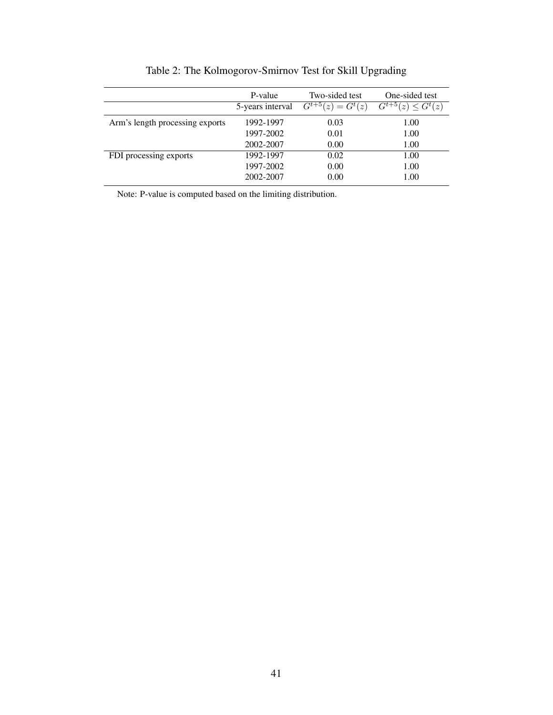|                                 | P-value<br>5-years interval | Two-sided test<br>$G^{t+5}$ (<br>$(z) = G^t(z)$ | One-sided test<br>$G^{t+5}$ (<br>$\leq G^t(z)$<br>$\hat{z}$ |
|---------------------------------|-----------------------------|-------------------------------------------------|-------------------------------------------------------------|
| Arm's length processing exports | 1992-1997                   | 0.03                                            | 1.00                                                        |
|                                 | 1997-2002                   | 0.01                                            | 1.00                                                        |
|                                 | 2002-2007                   | 0.00                                            | 1.00                                                        |
| FDI processing exports          | 1992-1997                   | 0.02                                            | 1.00                                                        |
|                                 | 1997-2002                   | 0.00                                            | 1.00                                                        |
|                                 | 2002-2007                   | 0.00                                            | 1.00                                                        |

Table 2: The Kolmogorov-Smirnov Test for Skill Upgrading

Note: P-value is computed based on the limiting distribution.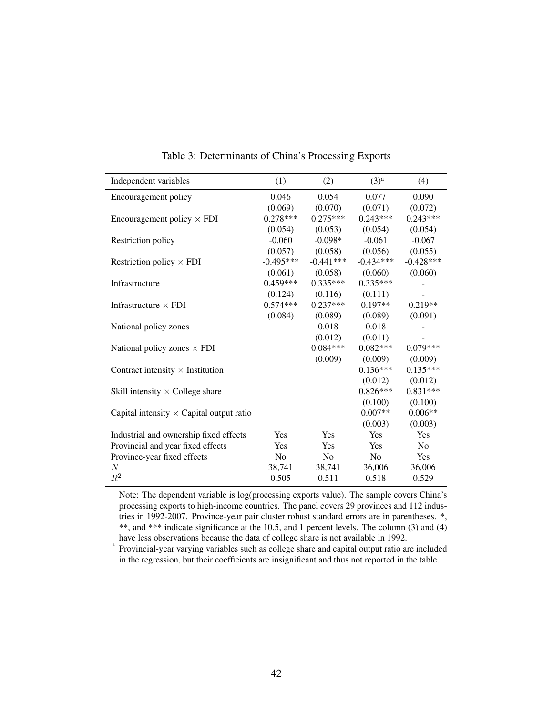| Independent variables                           | (1)            | (2)            | $(3)^a$        | (4)         |
|-------------------------------------------------|----------------|----------------|----------------|-------------|
| Encouragement policy                            | 0.046          | 0.054          | 0.077          | 0.090       |
|                                                 | (0.069)        | (0.070)        | (0.071)        | (0.072)     |
| Encouragement policy $\times$ FDI               | $0.278***$     | $0.275***$     | $0.243***$     | $0.243***$  |
|                                                 | (0.054)        | (0.053)        | (0.054)        | (0.054)     |
| Restriction policy                              | $-0.060$       | $-0.098*$      | $-0.061$       | $-0.067$    |
|                                                 | (0.057)        | (0.058)        | (0.056)        | (0.055)     |
| Restriction policy $\times$ FDI                 | $-0.495***$    | $-0.441***$    | $-0.434***$    | $-0.428***$ |
|                                                 | (0.061)        | (0.058)        | (0.060)        | (0.060)     |
| Infrastructure                                  | $0.459***$     | $0.335***$     | $0.335***$     |             |
|                                                 | (0.124)        | (0.116)        | (0.111)        |             |
| Infrastructure $\times$ FDI                     | $0.574***$     | $0.237***$     | $0.197**$      | $0.219**$   |
|                                                 | (0.084)        | (0.089)        | (0.089)        | (0.091)     |
| National policy zones                           |                | 0.018          | 0.018          |             |
|                                                 |                | (0.012)        | (0.011)        |             |
| National policy zones $\times$ FDI              |                | $0.084***$     | $0.082***$     | $0.079***$  |
|                                                 |                | (0.009)        | (0.009)        | (0.009)     |
| Contract intensity $\times$ Institution         |                |                | $0.136***$     | $0.135***$  |
|                                                 |                |                | (0.012)        | (0.012)     |
| Skill intensity $\times$ College share          |                |                | $0.826***$     | $0.831***$  |
|                                                 |                |                | (0.100)        | (0.100)     |
| Capital intensity $\times$ Capital output ratio |                |                | $0.007**$      | $0.006**$   |
|                                                 |                |                | (0.003)        | (0.003)     |
| Industrial and ownership fixed effects          | Yes            | Yes            | Yes            | Yes         |
| Provincial and year fixed effects               | Yes            | Yes            | Yes            | No          |
| Province-year fixed effects                     | N <sub>o</sub> | N <sub>o</sub> | N <sub>0</sub> | Yes         |
| N                                               | 38,741         | 38,741         | 36,006         | 36,006      |
| $\mathbb{R}^2$                                  | 0.505          | 0.511          | 0.518          | 0.529       |
|                                                 |                |                |                |             |

Table 3: Determinants of China's Processing Exports

Note: The dependent variable is log(processing exports value). The sample covers China's processing exports to high-income countries. The panel covers 29 provinces and 112 industries in 1992-2007. Province-year pair cluster robust standard errors are in parentheses. \*, \*\*, and \*\*\* indicate significance at the 10,5, and 1 percent levels. The column (3) and (4) have less observations because the data of college share is not available in 1992.

a Provincial-year varying variables such as college share and capital output ratio are included in the regression, but their coefficients are insignificant and thus not reported in the table.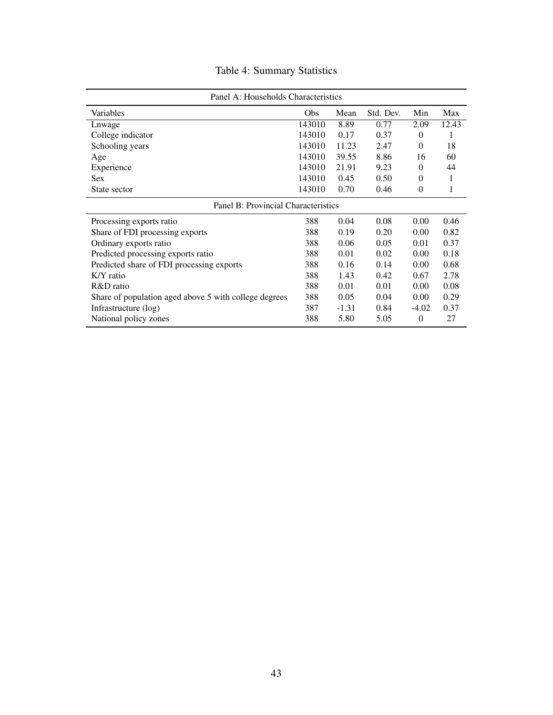# Table 4: Summary Statistics

| Panel A: Households Characteristics                   |            |         |           |          |       |
|-------------------------------------------------------|------------|---------|-----------|----------|-------|
| Variables                                             | <b>Obs</b> | Mean    | Std. Dev. | Min      | Max   |
| Lnwage                                                | 143010     | 8.89    | 0.77      | 2.09     | 12.43 |
| College indicator                                     | 143010     | 0.17    | 0.37      | $\theta$ | 1     |
| Schooling years                                       | 143010     | 11.23   | 2.47      | $\Omega$ | 18    |
| Age                                                   | 143010     | 39.55   | 8.86      | 16       | 60    |
| Experience                                            | 143010     | 21.91   | 9.23      | $\Omega$ | 44    |
| <b>Sex</b>                                            | 143010     | 0.45    | 0.50      | $\Omega$ | 1     |
| State sector                                          | 143010     | 0.70    | 0.46      | $\theta$ | 1     |
| Panel B: Provincial Characteristics                   |            |         |           |          |       |
| Processing exports ratio                              | 388        | 0.04    | 0.08      | 0.00     | 0.46  |
| Share of FDI processing exports                       | 388        | 0.19    | 0.20      | 0.00     | 0.82  |
| Ordinary exports ratio                                | 388        | 0.06    | 0.05      | 0.01     | 0.37  |
| Predicted processing exports ratio                    | 388        | 0.01    | 0.02      | 0.00     | 0.18  |
| Predicted share of FDI processing exports             | 388        | 0.16    | 0.14      | 0.00     | 0.68  |
| K/Y ratio                                             | 388        | 1.43    | 0.42      | 0.67     | 2.78  |
| R&D ratio                                             | 388        | 0.01    | 0.01      | 0.00     | 0.08  |
| Share of population aged above 5 with college degrees | 388        | 0.05    | 0.04      | 0.00     | 0.29  |
| Infrastructure (log)                                  | 387        | $-1.31$ | 0.84      | $-4.02$  | 0.37  |
| National policy zones                                 | 388        | 5.80    | 5.05      | $\theta$ | 27    |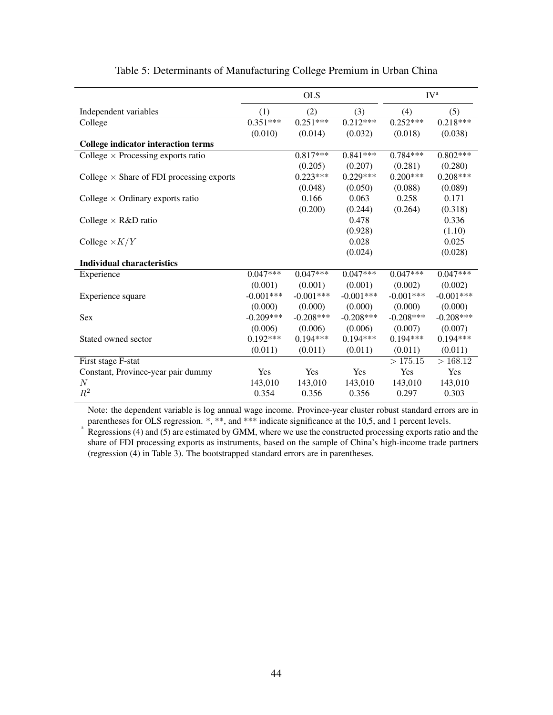|                                                  |             | <b>OLS</b>  |             |             | IV <sup>a</sup> |
|--------------------------------------------------|-------------|-------------|-------------|-------------|-----------------|
| Independent variables                            | (1)         | (2)         | (3)         | (4)         | (5)             |
| College                                          | $0.351***$  | $0.251***$  | $0.212***$  | $0.252***$  | $0.218***$      |
|                                                  | (0.010)     | (0.014)     | (0.032)     | (0.018)     | (0.038)         |
| <b>College indicator interaction terms</b>       |             |             |             |             |                 |
| College $\times$ Processing exports ratio        |             | $0.817***$  | $0.841***$  | $0.784***$  | $0.802***$      |
|                                                  |             | (0.205)     | (0.207)     | (0.281)     | (0.280)         |
| College $\times$ Share of FDI processing exports |             | $0.223***$  | $0.229***$  | $0.200***$  | $0.208***$      |
|                                                  |             | (0.048)     | (0.050)     | (0.088)     | (0.089)         |
| College $\times$ Ordinary exports ratio          |             | 0.166       | 0.063       | 0.258       | 0.171           |
|                                                  |             | (0.200)     | (0.244)     | (0.264)     | (0.318)         |
| College $\times$ R&D ratio                       |             |             | 0.478       |             | 0.336           |
|                                                  |             |             | (0.928)     |             | (1.10)          |
| College $\times K/Y$                             |             |             | 0.028       |             | 0.025           |
|                                                  |             |             | (0.024)     |             | (0.028)         |
| <b>Individual characteristics</b>                |             |             |             |             |                 |
| Experience                                       | $0.047***$  | $0.047***$  | $0.047***$  | $0.047***$  | $0.047***$      |
|                                                  | (0.001)     | (0.001)     | (0.001)     | (0.002)     | (0.002)         |
| Experience square                                | $-0.001***$ | $-0.001***$ | $-0.001***$ | $-0.001***$ | $-0.001***$     |
|                                                  | (0.000)     | (0.000)     | (0.000)     | (0.000)     | (0.000)         |
| Sex                                              | $-0.209***$ | $-0.208***$ | $-0.208***$ | $-0.208***$ | $-0.208***$     |
|                                                  | (0.006)     | (0.006)     | (0.006)     | (0.007)     | (0.007)         |
| Stated owned sector                              | $0.192***$  | $0.194***$  | $0.194***$  | $0.194***$  | $0.194***$      |
|                                                  | (0.011)     | (0.011)     | (0.011)     | (0.011)     | (0.011)         |
| First stage F-stat                               |             |             |             | >175.15     | >168.12         |
| Constant, Province-year pair dummy               | Yes         | Yes         | Yes         | Yes         | Yes             |
| $\boldsymbol{N}$                                 | 143,010     | 143,010     | 143,010     | 143,010     | 143,010         |
| $\mathbb{R}^2$                                   | 0.354       | 0.356       | 0.356       | 0.297       | 0.303           |
|                                                  |             |             |             |             |                 |

#### Table 5: Determinants of Manufacturing College Premium in Urban China

Note: the dependent variable is log annual wage income. Province-year cluster robust standard errors are in parentheses for OLS regression. \*, \*\*, and \*\*\* indicate significance at the 10,5, and 1 percent levels.

a

Regressions (4) and (5) are estimated by GMM, where we use the constructed processing exports ratio and the share of FDI processing exports as instruments, based on the sample of China's high-income trade partners (regression (4) in Table 3). The bootstrapped standard errors are in parentheses.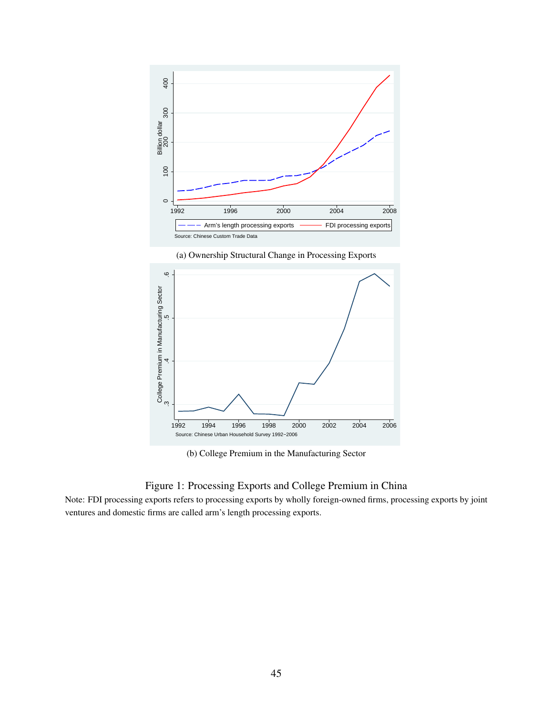

(a) Ownership Structural Change in Processing Exports



(b) College Premium in the Manufacturing Sector

#### Figure 1: Processing Exports and College Premium in China

Note: FDI processing exports refers to processing exports by wholly foreign-owned firms, processing exports by joint ventures and domestic firms are called arm's length processing exports.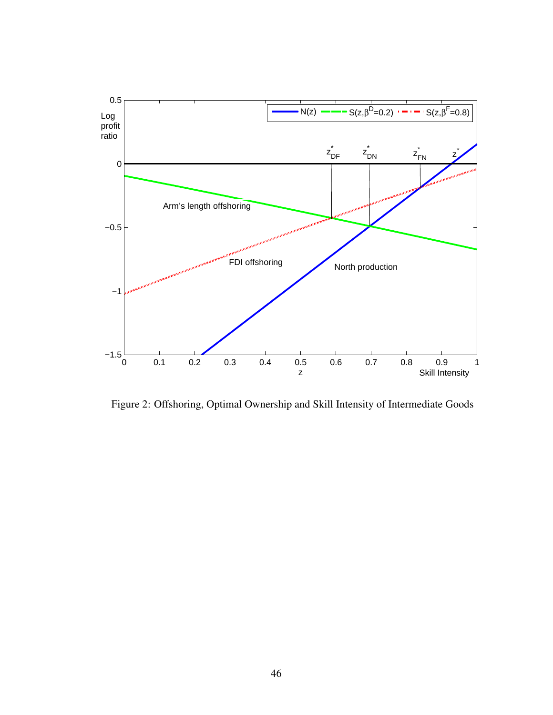

Figure 2: Offshoring, Optimal Ownership and Skill Intensity of Intermediate Goods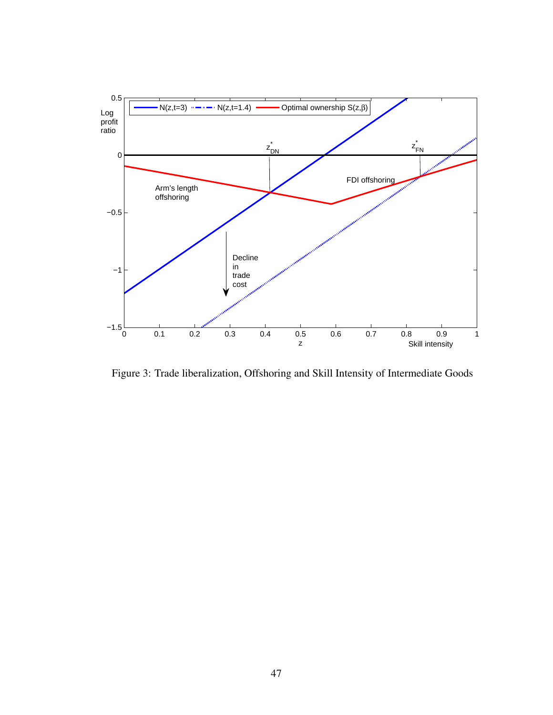

Figure 3: Trade liberalization, Offshoring and Skill Intensity of Intermediate Goods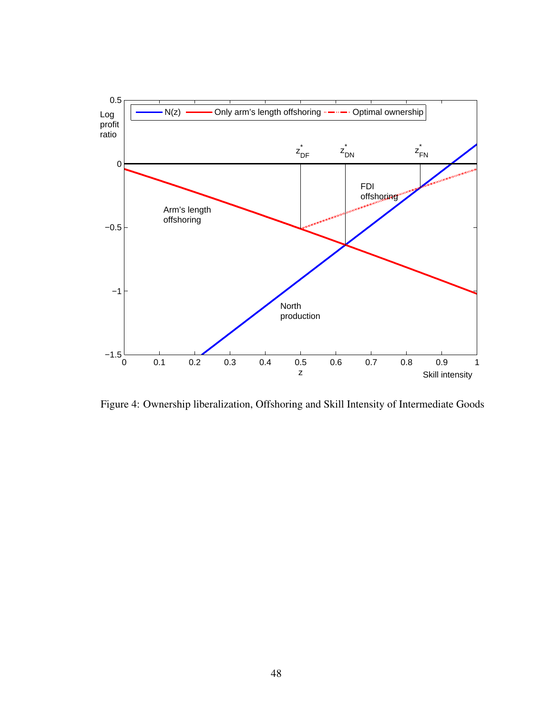

Figure 4: Ownership liberalization, Offshoring and Skill Intensity of Intermediate Goods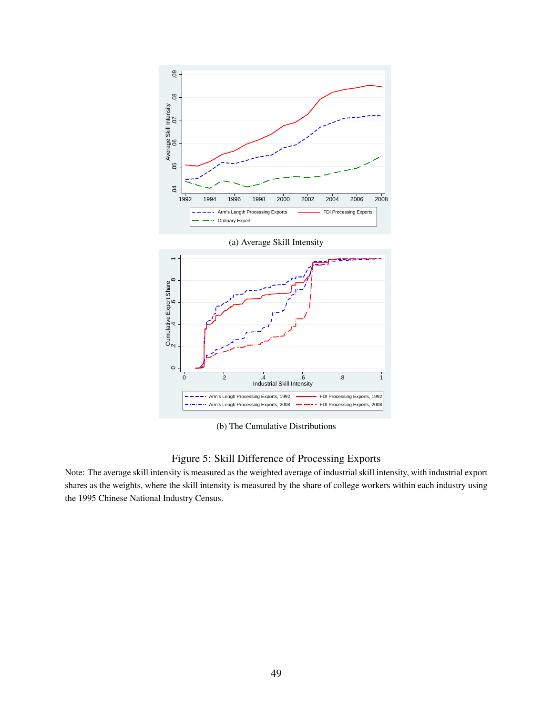

(b) The Cumulative Distributions

#### Figure 5: Skill Difference of Processing Exports

Note: The average skill intensity is measured as the weighted average of industrial skill intensity, with industrial export shares as the weights, where the skill intensity is measured by the share of college workers within each industry using the 1995 Chinese National Industry Census.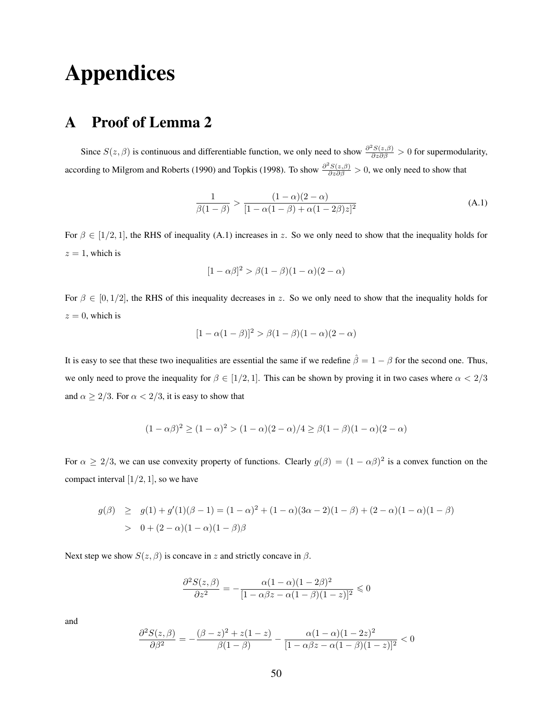# Appendices

# A Proof of Lemma 2

Since  $S(z, \beta)$  is continuous and differentiable function, we only need to show  $\frac{\partial^2 S(z, \beta)}{\partial z \partial \beta} > 0$  for supermodularity, according to Milgrom and Roberts (1990) and Topkis (1998). To show  $\frac{\partial^2 S(z,\beta)}{\partial z \partial \beta} > 0$ , we only need to show that

$$
\frac{1}{\beta(1-\beta)} > \frac{(1-\alpha)(2-\alpha)}{[1-\alpha(1-\beta)+\alpha(1-2\beta)z]^2}
$$
 (A.1)

For  $\beta \in [1/2, 1]$ , the RHS of inequality (A.1) increases in z. So we only need to show that the inequality holds for  $z = 1$ , which is

$$
[1 - \alpha \beta]^2 > \beta(1 - \beta)(1 - \alpha)(2 - \alpha)
$$

For  $\beta \in [0, 1/2]$ , the RHS of this inequality decreases in z. So we only need to show that the inequality holds for  $z = 0$ , which is

$$
[1 - \alpha(1 - \beta)]^2 > \beta(1 - \beta)(1 - \alpha)(2 - \alpha)
$$

It is easy to see that these two inequalities are essential the same if we redefine  $\hat{\beta} = 1 - \beta$  for the second one. Thus, we only need to prove the inequality for  $\beta \in [1/2, 1]$ . This can be shown by proving it in two cases where  $\alpha < 2/3$ and  $\alpha \geq 2/3$ . For  $\alpha < 2/3$ , it is easy to show that

$$
(1 - \alpha \beta)^2 \ge (1 - \alpha)^2 > (1 - \alpha)(2 - \alpha)/4 \ge \beta(1 - \beta)(1 - \alpha)(2 - \alpha)
$$

For  $\alpha \ge 2/3$ , we can use convexity property of functions. Clearly  $g(\beta) = (1 - \alpha \beta)^2$  is a convex function on the compact interval  $[1/2, 1]$ , so we have

$$
g(\beta) \ge g(1) + g'(1)(\beta - 1) = (1 - \alpha)^2 + (1 - \alpha)(3\alpha - 2)(1 - \beta) + (2 - \alpha)(1 - \alpha)(1 - \beta)
$$
  
> 0 + (2 - \alpha)(1 - \alpha)(1 - \beta)\beta

Next step we show  $S(z, \beta)$  is concave in z and strictly concave in  $\beta$ .

$$
\frac{\partial^2 S(z,\beta)}{\partial z^2} = -\frac{\alpha(1-\alpha)(1-2\beta)^2}{[1-\alpha\beta z - \alpha(1-\beta)(1-z)]^2} \leq 0
$$

and

$$
\frac{\partial^2 S(z,\beta)}{\partial \beta^2} = -\frac{(\beta - z)^2 + z(1 - z)}{\beta(1 - \beta)} - \frac{\alpha(1 - \alpha)(1 - 2z)^2}{[1 - \alpha\beta z - \alpha(1 - \beta)(1 - z)]^2} < 0
$$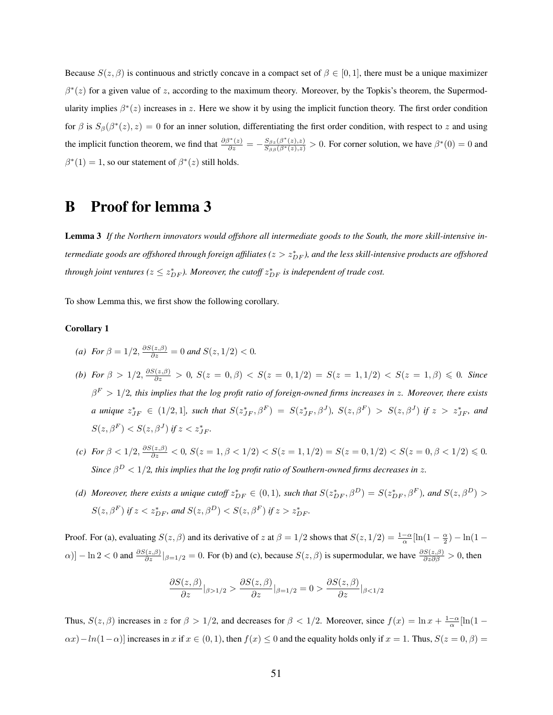Because  $S(z, \beta)$  is continuous and strictly concave in a compact set of  $\beta \in [0, 1]$ , there must be a unique maximizer  $\beta^*(z)$  for a given value of z, according to the maximum theory. Moreover, by the Topkis's theorem, the Supermodularity implies  $\beta^*(z)$  increases in z. Here we show it by using the implicit function theory. The first order condition for  $\beta$  is  $S_\beta(\beta^*(z), z) = 0$  for an inner solution, differentiating the first order condition, with respect to z and using the implicit function theorem, we find that  $\frac{\partial \beta^*(z)}{\partial z} = -\frac{S_{\beta z}(\beta^*(z),z)}{S_{\beta \beta}(\beta^*(z),z)} > 0$ . For corner solution, we have  $\beta^*(0) = 0$  and  $\beta^*(1) = 1$ , so our statement of  $\beta^*(z)$  still holds.

### B Proof for lemma 3

Lemma 3 *If the Northern innovators would offshore all intermediate goods to the South, the more skill-intensive in* $t$ ermediate goods are offshored through foreign affiliates ( $z>z^*_{DF}$ ), and the less skill-intensive products are offshored *through joint ventures (* $z \leq z_{DF}^{*}$ *). Moreover, the cutoff*  $z_{DF}^{*}$  *is independent of trade cost.* 

To show Lemma this, we first show the following corollary.

#### Corollary 1

- *(a) For*  $\beta = 1/2$ ,  $\frac{\partial S(z, \beta)}{\partial z} = 0$  *and*  $S(z, 1/2) < 0$ .
- *(b) For*  $\beta > 1/2, \frac{\partial S(z, \beta)}{\partial z} > 0$ ,  $S(z = 0, \beta) < S(z = 0, 1/2) = S(z = 1, 1/2) < S(z = 1, \beta) \le 0$ . Since β <sup>F</sup> > 1/2*, this implies that the log profit ratio of foreign-owned firms increases in* z*. Moreover, there exists a* unique  $z_{JF}^* \in (1/2, 1]$ , such that  $S(z_{JF}^*, \beta^F) = S(z_{JF}^*, \beta^J)$ ,  $S(z, \beta^F) > S(z, \beta^J)$  if  $z > z_{JF}^*$ , and  $S(z, \beta^F) < S(z, \beta^J)$  if  $z < z^*_{JF}$ .
- *(c) For*  $\beta < 1/2$ ,  $\frac{\partial S(z,\beta)}{\partial z} < 0$ ,  $S(z = 1, \beta < 1/2) < S(z = 1, 1/2) = S(z = 0, 1/2) < S(z = 0, \beta < 1/2) \le 0$ . *Since*  $\beta^D < 1/2$ , this implies that the log profit ratio of Southern-owned firms decreases in z.
- (d) Moreover, there exists a unique cutoff  $z_{DF}^* \in (0,1)$ , such that  $S(z_{DF}^*, \beta^D) = S(z_{DF}^*, \beta^F)$ , and  $S(z, \beta^D) >$  $S(z, \beta^F)$  *if*  $z < z_{DF}^*$ , and  $S(z, \beta^D) < S(z, \beta^F)$  *if*  $z > z_{DF}^*$ .

Proof. For (a), evaluating  $S(z, \beta)$  and its derivative of z at  $\beta = 1/2$  shows that  $S(z, 1/2) = \frac{1-\alpha}{\alpha} [\ln(1-\frac{\alpha}{2}) - \ln(1-\frac{\alpha}{2})]$  $\alpha$ )] – ln 2 < 0 and  $\frac{\partial S(z,\beta)}{\partial z}|_{\beta=1/2} = 0$ . For (b) and (c), because  $S(z,\beta)$  is supermodular, we have  $\frac{\partial S(z,\beta)}{\partial z \partial \beta} > 0$ , then

$$
\frac{\partial S(z,\beta)}{\partial z}\big|_{\beta>1/2} > \frac{\partial S(z,\beta)}{\partial z}\big|_{\beta=1/2} = 0 > \frac{\partial S(z,\beta)}{\partial z}\big|_{\beta<1/2}
$$

Thus,  $S(z, \beta)$  increases in z for  $\beta > 1/2$ , and decreases for  $\beta < 1/2$ . Moreover, since  $f(x) = \ln x + \frac{1-\alpha}{\alpha}[\ln(1-\alpha)]$  $\alpha(x) - ln(1-\alpha)$ ] increases in x if  $x \in (0,1)$ , then  $f(x) \le 0$  and the equality holds only if  $x = 1$ . Thus,  $S(z = 0, \beta) =$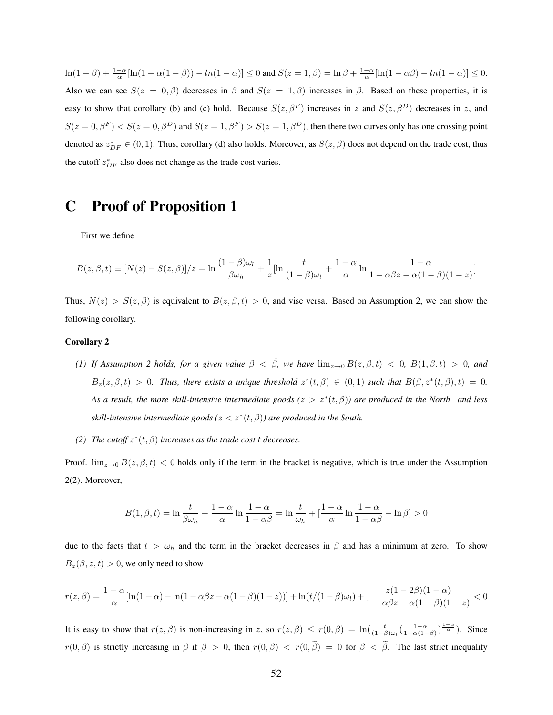$\ln(1-\beta) + \frac{1-\alpha}{\alpha}[\ln(1-\alpha(1-\beta)) - \ln(1-\alpha)] \leq 0$  and  $S(z=1,\beta) = \ln \beta + \frac{1-\alpha}{\alpha}[\ln(1-\alpha\beta) - \ln(1-\alpha)] \leq 0$ . Also we can see  $S(z = 0, \beta)$  decreases in  $\beta$  and  $S(z = 1, \beta)$  increases in  $\beta$ . Based on these properties, it is easy to show that corollary (b) and (c) hold. Because  $S(z, \beta^F)$  increases in z and  $S(z, \beta^D)$  decreases in z, and  $S(z = 0, \beta^F) < S(z = 0, \beta^D)$  and  $S(z = 1, \beta^F) > S(z = 1, \beta^D)$ , then there two curves only has one crossing point denoted as  $z_{DF}^* \in (0, 1)$ . Thus, corollary (d) also holds. Moreover, as  $S(z, \beta)$  does not depend on the trade cost, thus the cutoff  $z_{DF}^{*}$  also does not change as the trade cost varies.

## C Proof of Proposition 1

First we define

$$
B(z, \beta, t) \equiv [N(z) - S(z, \beta)]/z = \ln \frac{(1 - \beta)\omega_l}{\beta \omega_h} + \frac{1}{z} [\ln \frac{t}{(1 - \beta)\omega_l} + \frac{1 - \alpha}{\alpha} \ln \frac{1 - \alpha}{1 - \alpha \beta z - \alpha(1 - \beta)(1 - z)}]
$$

Thus,  $N(z) > S(z, \beta)$  is equivalent to  $B(z, \beta, t) > 0$ , and vise versa. Based on Assumption 2, we can show the following corollary.

#### Corollary 2

- *(1) If Assumption 2 holds, for a given value*  $\beta < \tilde{\beta}$ *, we have*  $\lim_{z\to 0} B(z,\beta,t) < 0$ *,*  $B(1,\beta,t) > 0$ *, and*  $B_z(z, \beta, t) > 0$ . Thus, there exists a unique threshold  $z^*(t, \beta) \in (0, 1)$  such that  $B(\beta, z^*(t, \beta), t) = 0$ . *As a result, the more skill-intensive intermediate goods (*z > z<sup>∗</sup> (t, β)*) are produced in the North. and less*  $s$ *kill-intensive intermediate goods*  $(z < z^*(t, \beta))$  are produced in the South.
- (2) *The cutoff*  $z^*(t, \beta)$  *increases as the trade cost t decreases.*

Proof.  $\lim_{z\to 0} B(z,\beta,t) < 0$  holds only if the term in the bracket is negative, which is true under the Assumption 2(2). Moreover,

$$
B(1, \beta, t) = \ln \frac{t}{\beta \omega_h} + \frac{1-\alpha}{\alpha} \ln \frac{1-\alpha}{1-\alpha \beta} = \ln \frac{t}{\omega_h} + \left[\frac{1-\alpha}{\alpha} \ln \frac{1-\alpha}{1-\alpha \beta} - \ln \beta \right] > 0
$$

due to the facts that  $t > \omega_h$  and the term in the bracket decreases in  $\beta$  and has a minimum at zero. To show  $B_z(\beta, z, t) > 0$ , we only need to show

$$
r(z,\beta) = \frac{1-\alpha}{\alpha} [\ln(1-\alpha) - \ln(1-\alpha\beta z - \alpha(1-\beta)(1-z))] + \ln(t/(1-\beta)\omega_l) + \frac{z(1-2\beta)(1-\alpha)}{1-\alpha\beta z - \alpha(1-\beta)(1-z)} < 0
$$

It is easy to show that  $r(z, \beta)$  is non-increasing in z, so  $r(z, \beta) \le r(0, \beta) = \ln(\frac{t}{(1-\beta)\omega_0}(\frac{1-\alpha}{1-\alpha(1-\beta)})^{\frac{1-\alpha}{\alpha}})$ . Since  $r(0, \beta)$  is strictly increasing in  $\beta$  if  $\beta > 0$ , then  $r(0, \beta) < r(0, \tilde{\beta}) = 0$  for  $\beta < \tilde{\beta}$ . The last strict inequality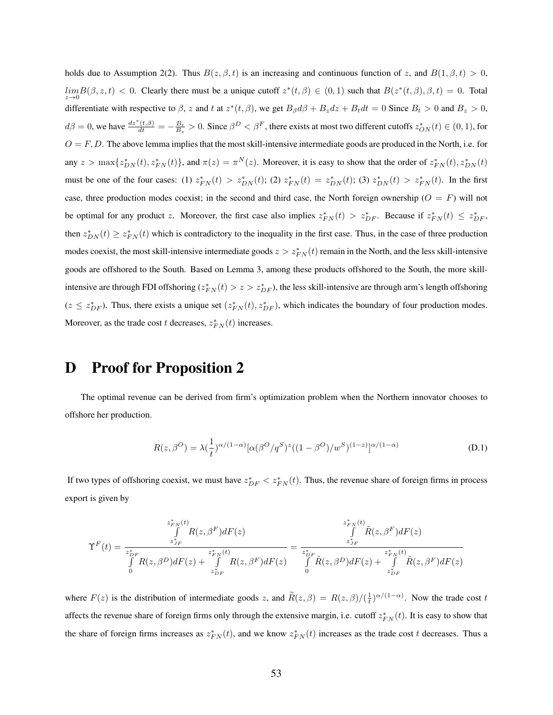holds due to Assumption 2(2). Thus  $B(z, \beta, t)$  is an increasing and continuous function of z, and  $B(1, \beta, t) > 0$ ,  $\lim_{z\to 0} B(\beta, z, t) < 0$ . Clearly there must be a unique cutoff  $z^*(t, \beta) \in (0, 1)$  such that  $B(z^*(t, \beta), \beta, t) = 0$ . Total differentiate with respective to  $\beta$ , z and t at  $z^*(t, \beta)$ , we get  $B_\beta d\beta + B_z dz + B_t dt = 0$  Since  $B_t > 0$  and  $B_z > 0$ ,  $d\beta = 0$ , we have  $\frac{dz^*(t,\beta)}{dt} = -\frac{B_t}{B_z} > 0$ . Since  $\beta^D < \beta^F$ , there exists at most two different cutoffs  $z^*_{ON}(t) \in (0,1)$ , for  $O = F, D$ . The above lemma implies that the most skill-intensive intermediate goods are produced in the North, i.e. for any  $z > \max\{z_{DN}^*(t), z_{FN}^*(t)\}$ , and  $\pi(z) = \pi^N(z)$ . Moreover, it is easy to show that the order of  $z_{FN}^*(t), z_{DN}^*(t)$ must be one of the four cases: (1)  $z_{FN}^*(t) > z_{DN}^*(t)$ ; (2)  $z_{FN}^*(t) = z_{DN}^*(t)$ ; (3)  $z_{DN}^*(t) > z_{FN}^*(t)$ . In the first case, three production modes coexist; in the second and third case, the North foreign ownership ( $O = F$ ) will not be optimal for any product z. Moreover, the first case also implies  $z_{FN}^*(t) > z_{DF}^*$ . Because if  $z_{FN}^*(t) \leq z_{DF}^*$ , then  $z_{DN}^*(t) \geq z_{FN}^*(t)$  which is contradictory to the inequality in the first case. Thus, in the case of three production modes coexist, the most skill-intensive intermediate goods  $z > z_{FN}^*(t)$  remain in the North, and the less skill-intensive goods are offshored to the South. Based on Lemma 3, among these products offshored to the South, the more skillintensive are through FDI offshoring  $(z_{FN}^*(t) > z > z_{DF}^*)$ , the less skill-intensive are through arm's length offshoring  $(z \leq z_{DF}^*)$ . Thus, there exists a unique set  $(z_{FN}^*(t), z_{DF}^*)$ , which indicates the boundary of four production modes. Moreover, as the trade cost t decreases,  $z_{FN}^*(t)$  increases.

# D Proof for Proposition 2

The optimal revenue can be derived from firm's optimization problem when the Northern innovator chooses to offshore her production.

$$
R(z, \beta^{O}) = \lambda \left(\frac{1}{t}\right)^{\alpha/(1-\alpha)} [\alpha(\beta^{O}/q^{S})^{z}((1-\beta^{O})/w^{S})^{(1-z)}]^{\alpha/(1-\alpha)}
$$
(D.1)

If two types of offshoring coexist, we must have  $z_{DF}^* < z_{FN}^*(t)$ . Thus, the revenue share of foreign firms in process export is given by

$$
\Upsilon^F(t) = \frac{\int\limits_{z_{JF}^*}^{z_{FN}^*(t)} R(z,\beta^F) dF(z)}{\int\limits_0^{z_{JF}^*} R(z,\beta^D) dF(z) + \int\limits_{z_{JF}^*}^{z_{FN}^*(t)} R(z,\beta^F) dF(z)} = \frac{\int\limits_{z_{JF}^*}^{z_{FN}^*(t)} \tilde{R}(z,\beta^F) dF(z)}{\int\limits_0^{z_{JF}^*} R(z,\beta^D) dF(z) + \int\limits_{z_{JF}^*}^{z_{FN}^*(t)} \tilde{R}(z,\beta^F) dF(z)}
$$

where  $F(z)$  is the distribution of intermediate goods z, and  $\widetilde{R}(z,\beta) = R(z,\beta)/(\frac{1}{t})^{\alpha/(1-\alpha)}$ . Now the trade cost t affects the revenue share of foreign firms only through the extensive margin, i.e. cutoff  $z_{FN}^*(t)$ . It is easy to show that the share of foreign firms increases as  $z_{FN}^*(t)$ , and we know  $z_{FN}^*(t)$  increases as the trade cost t decreases. Thus a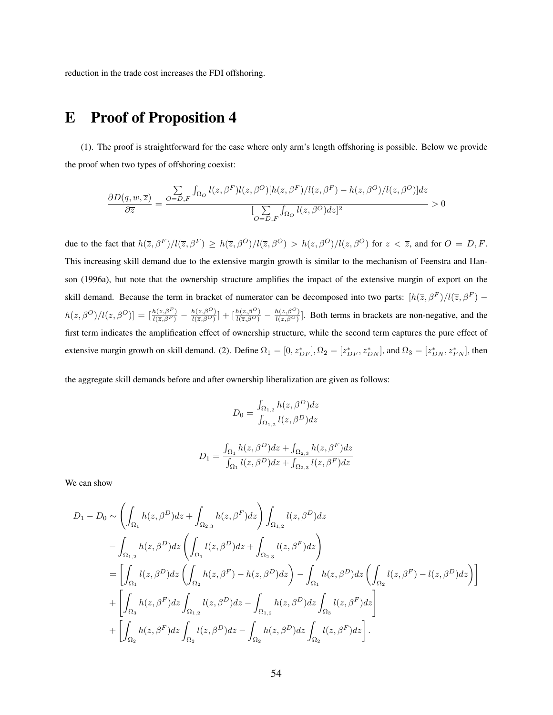reduction in the trade cost increases the FDI offshoring.

### E Proof of Proposition 4

(1). The proof is straightforward for the case where only arm's length offshoring is possible. Below we provide the proof when two types of offshoring coexist:

$$
\frac{\partial D(q,w,\overline{z})}{\partial \overline{z}}=\frac{\sum\limits_{O=D,F}\int_{\Omega_{O}}l(\overline{z},\beta^{F})l(z,\beta^{O})[h(\overline{z},\beta^{F})/l(\overline{z},\beta^{F})-h(z,\beta^{O})/l(z,\beta^{O})]dz}{[\sum\limits_{O=D,F}\int_{\Omega_{O}}l(z,\beta^{O})dz]^{2}}>0
$$

due to the fact that  $h(\bar{z}, \beta^F)/l(\bar{z}, \beta^F) \ge h(\bar{z}, \beta^O)/l(\bar{z}, \beta^O) > h(z, \beta^O)/l(z, \beta^O)$  for  $z < \bar{z}$ , and for  $O = D, F$ . This increasing skill demand due to the extensive margin growth is similar to the mechanism of Feenstra and Hanson (1996a), but note that the ownership structure amplifies the impact of the extensive margin of export on the skill demand. Because the term in bracket of numerator can be decomposed into two parts:  $[h(\bar{z}, \beta^F)/l(\bar{z}, \beta^F)$  $h(z, \beta^O)/l(z, \beta^O)]=\left[\frac{h(\overline{z}, \beta^F)}{l(\overline{z}, \beta^F)}-\frac{h(\overline{z}, \beta^O)}{l(\overline{z}, \beta^O)}\right]$  $\frac{h(\overline{z}, \beta^O)}{l(\overline{z}, \beta^O)} + \left[\frac{h(\overline{z}, \beta^O)}{l(\overline{z}, \beta^O)} - \frac{h(z, \beta^O)}{l(z, \beta^O)}\right]$  $\frac{h(z,\beta)}{h(z,\beta)}$ . Both terms in brackets are non-negative, and the first term indicates the amplification effect of ownership structure, while the second term captures the pure effect of extensive margin growth on skill demand. (2). Define  $\Omega_1 = [0, z_{DF}^*], \Omega_2 = [z_{DF}^*, z_{DN}^*]$ , and  $\Omega_3 = [z_{DN}^*, z_{FN}^*]$ , then

the aggregate skill demands before and after ownership liberalization are given as follows:

$$
D_0 = \frac{\int_{\Omega_{1,2}} h(z, \beta^D) dz}{\int_{\Omega_{1,2}} l(z, \beta^D) dz}
$$

$$
D_1 = \frac{\int_{\Omega_1} h(z, \beta^D) dz + \int_{\Omega_{2,3}} h(z, \beta^F) dz}{\int_{\Omega_1} l(z, \beta^D) dz + \int_{\Omega_{2,3}} l(z, \beta^F) dz}
$$

We can show

$$
D_1 - D_0 \sim \left( \int_{\Omega_1} h(z, \beta^D) dz + \int_{\Omega_{2,3}} h(z, \beta^F) dz \right) \int_{\Omega_{1,2}} l(z, \beta^D) dz
$$
  

$$
- \int_{\Omega_{1,2}} h(z, \beta^D) dz \left( \int_{\Omega_1} l(z, \beta^D) dz + \int_{\Omega_{2,3}} l(z, \beta^F) dz \right)
$$
  

$$
= \left[ \int_{\Omega_1} l(z, \beta^D) dz \left( \int_{\Omega_2} h(z, \beta^F) - h(z, \beta^D) dz \right) - \int_{\Omega_1} h(z, \beta^D) dz \left( \int_{\Omega_2} l(z, \beta^F) - l(z, \beta^D) dz \right) \right]
$$
  

$$
+ \left[ \int_{\Omega_3} h(z, \beta^F) dz \int_{\Omega_{1,2}} l(z, \beta^D) dz - \int_{\Omega_{1,2}} h(z, \beta^D) dz \int_{\Omega_3} l(z, \beta^F) dz \right]
$$
  

$$
+ \left[ \int_{\Omega_2} h(z, \beta^F) dz \int_{\Omega_2} l(z, \beta^D) dz - \int_{\Omega_2} h(z, \beta^D) dz \int_{\Omega_2} l(z, \beta^F) dz \right].
$$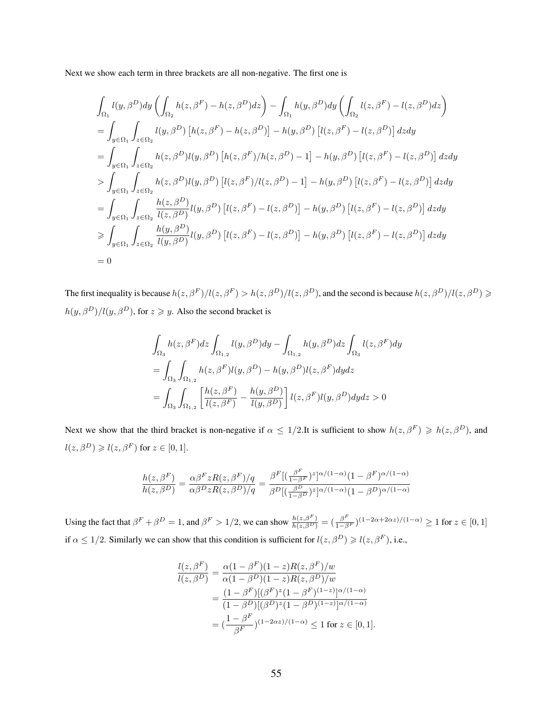Next we show each term in three brackets are all non-negative. The first one is

$$
\int_{\Omega_{1}} l(y, \beta^{D}) dy \left( \int_{\Omega_{2}} h(z, \beta^{F}) - h(z, \beta^{D}) dz \right) - \int_{\Omega_{1}} h(y, \beta^{D}) dy \left( \int_{\Omega_{2}} l(z, \beta^{F}) - l(z, \beta^{D}) dz \right)
$$
\n
$$
= \int_{y \in \Omega_{1}} \int_{z \in \Omega_{2}} l(y, \beta^{D}) \left[ h(z, \beta^{F}) - h(z, \beta^{D}) \right] - h(y, \beta^{D}) \left[ l(z, \beta^{F}) - l(z, \beta^{D}) \right] dz dy
$$
\n
$$
= \int_{y \in \Omega_{1}} \int_{z \in \Omega_{2}} h(z, \beta^{D}) l(y, \beta^{D}) \left[ h(z, \beta^{F}) / h(z, \beta^{D}) - 1 \right] - h(y, \beta^{D}) \left[ l(z, \beta^{F}) - l(z, \beta^{D}) \right] dz dy
$$
\n
$$
> \int_{y \in \Omega_{1}} \int_{z \in \Omega_{2}} h(z, \beta^{D}) l(y, \beta^{D}) \left[ l(z, \beta^{F}) / l(z, \beta^{D}) - 1 \right] - h(y, \beta^{D}) \left[ l(z, \beta^{F}) - l(z, \beta^{D}) \right] dz dy
$$
\n
$$
= \int_{y \in \Omega_{1}} \int_{z \in \Omega_{2}} \frac{h(z, \beta^{D})}{l(z, \beta^{D})} l(y, \beta^{D}) \left[ l(z, \beta^{F}) - l(z, \beta^{D}) \right] - h(y, \beta^{D}) \left[ l(z, \beta^{F}) - l(z, \beta^{D}) \right] dz dy
$$
\n
$$
\geq \int_{y \in \Omega_{1}} \int_{z \in \Omega_{2}} \frac{h(y, \beta^{D})}{l(y, \beta^{D})} l(y, \beta^{D}) \left[ l(z, \beta^{F}) - l(z, \beta^{D}) \right] - h(y, \beta^{D}) \left[ l(z, \beta^{F}) - l(z, \beta^{D}) \right] dz dy
$$
\n
$$
= 0
$$

The first inequality is because  $h(z, \beta^F)/l(z, \beta^F) > h(z, \beta^D)/l(z, \beta^D)$ , and the second is because  $h(z, \beta^D)/l(z, \beta^D) \ge$  $h(y, \beta^D)/l(y, \beta^D)$ , for  $z \geq y$ . Also the second bracket is

$$
\int_{\Omega_3} h(z,\beta^F)dz \int_{\Omega_{1,2}} l(y,\beta^D)dy - \int_{\Omega_{1,2}} h(y,\beta^D)dz \int_{\Omega_3} l(z,\beta^F)dy
$$
  
= 
$$
\int_{\Omega_3} \int_{\Omega_{1,2}} h(z,\beta^F)l(y,\beta^D) - h(y,\beta^D)l(z,\beta^F)dydz
$$
  
= 
$$
\int_{\Omega_3} \int_{\Omega_{1,2}} \left[ \frac{h(z,\beta^F)}{l(z,\beta^F)} - \frac{h(y,\beta^D)}{l(y,\beta^D)} \right]l(z,\beta^F)l(y,\beta^D)dydz > 0
$$

Next we show that the third bracket is non-negative if  $\alpha \leq 1/2$ .It is sufficient to show  $h(z, \beta^F) \geq h(z, \beta^D)$ , and  $l(z, \beta^D) \geqslant l(z, \beta^F)$  for  $z \in [0, 1]$ .

$$
\frac{h(z,\beta^F)}{h(z,\beta^D)} = \frac{\alpha\beta^F z R(z,\beta^F)/q}{\alpha\beta^D z R(z,\beta^D)/q} = \frac{\beta^F [(\frac{\beta^F}{1-\beta^F})^z]^{\alpha/(1-\alpha)} (1-\beta^F)^{\alpha/(1-\alpha)}}{\beta^D [(\frac{\beta^D}{1-\beta^D})^z]^{\alpha/(1-\alpha)} (1-\beta^D)^{\alpha/(1-\alpha)}}
$$

Using the fact that  $\beta^F + \beta^D = 1$ , and  $\beta^F > 1/2$ , we can show  $\frac{h(z,\beta^F)}{h(z,\beta^D)} = (\frac{\beta^F}{1-\beta^F})^{(1-2\alpha+2\alpha z)/(1-\alpha)} \ge 1$  for  $z \in [0,1]$ if  $\alpha \leq 1/2$ . Similarly we can show that this condition is sufficient for  $l(z, \beta^D) \geq l(z, \beta^F)$ , i.e.,

$$
\frac{l(z,\beta^F)}{l(z,\beta^D)} = \frac{\alpha(1-\beta^F)(1-z)R(z,\beta^F)/w}{\alpha(1-\beta^D)(1-z)R(z,\beta^D)/w}
$$

$$
= \frac{(1-\beta^F)[(\beta^F)^z(1-\beta^F)^{(1-z)}]\alpha^{/(1-\alpha)}}{(1-\beta^D)[(\beta^D)^z(1-\beta^D)^{(1-z)}]\alpha^{/(1-\alpha)}}
$$

$$
= \left(\frac{1-\beta^F}{\beta^F}\right)^{(1-2\alpha z)/(1-\alpha)} \le 1 \text{ for } z \in [0,1].
$$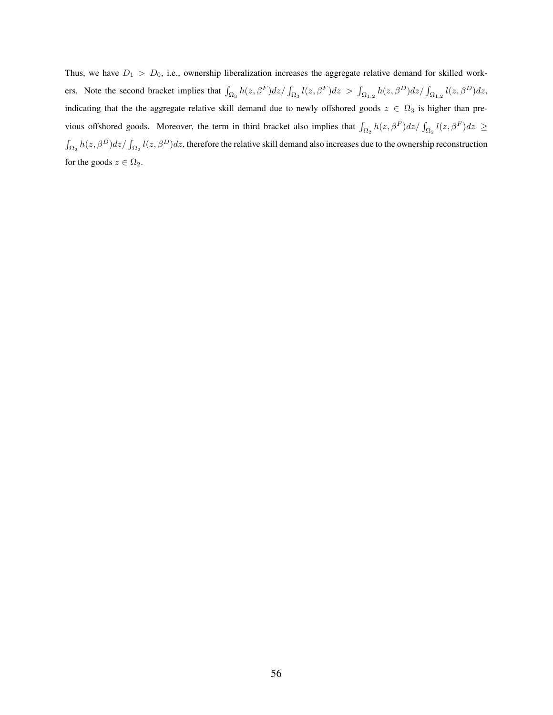Thus, we have  $D_1 > D_0$ , i.e., ownership liberalization increases the aggregate relative demand for skilled workers. Note the second bracket implies that  $\int_{\Omega_3} h(z,\beta^F)dz/\int_{\Omega_3} l(z,\beta^F)dz > \int_{\Omega_{1,2}} h(z,\beta^D)dz/\int_{\Omega_{1,2}} l(z,\beta^D)dz$ indicating that the the aggregate relative skill demand due to newly offshored goods  $z \in \Omega_3$  is higher than previous offshored goods. Moreover, the term in third bracket also implies that  $\int_{\Omega_2} h(z,\beta^F)dz/\int_{\Omega_2} l(z,\beta^F)dz \ge$  $\int_{\Omega_2} h(z,\beta^D)dz/\int_{\Omega_2} l(z,\beta^D)dz$ , therefore the relative skill demand also increases due to the ownership reconstruction for the goods  $z \in \Omega_2$ .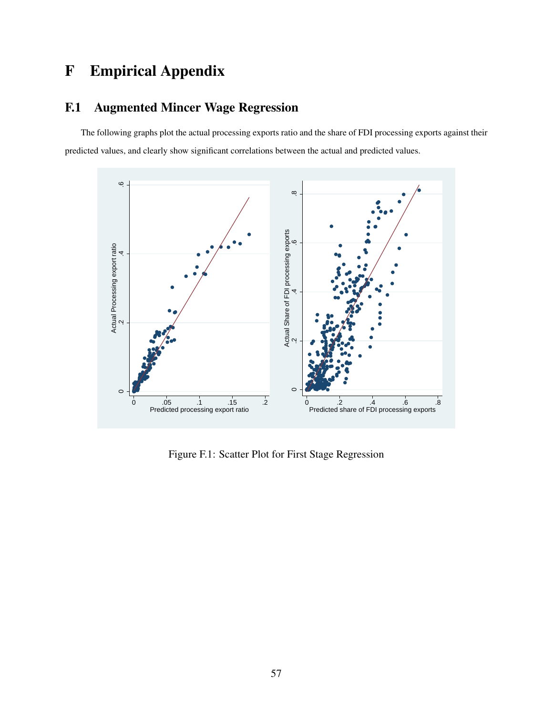# F Empirical Appendix

### F.1 Augmented Mincer Wage Regression

The following graphs plot the actual processing exports ratio and the share of FDI processing exports against their predicted values, and clearly show significant correlations between the actual and predicted values.



Figure F.1: Scatter Plot for First Stage Regression